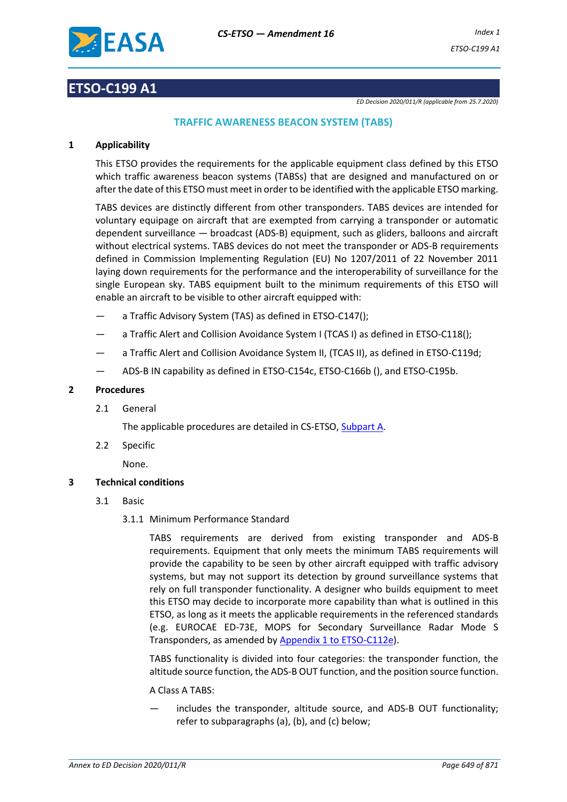

### **ETSO-C199 A1**

*ED Decision 2020/011/R (applicable from 25.7.2020)*

### **TRAFFIC AWARENESS BEACON SYSTEM (TABS)**

#### **1 Applicability**

This ETSO provides the requirements for the applicable equipment class defined by this ETSO which traffic awareness beacon systems (TABSs) that are designed and manufactured on or after the date of this ETSO must meet in order to be identified with the applicable ETSO marking.

TABS devices are distinctly different from other transponders. TABS devices are intended for voluntary equipage on aircraft that are exempted from carrying a transponder or automatic dependent surveillance — broadcast (ADS-B) equipment, such as gliders, balloons and aircraft without electrical systems. TABS devices do not meet the transponder or ADS-B requirements defined in Commission Implementing Regulation (EU) No 1207/2011 of 22 November 2011 laying down requirements for the performance and the interoperability of surveillance for the single European sky. TABS equipment built to the minimum requirements of this ETSO will enable an aircraft to be visible to other aircraft equipped with:

- a Traffic Advisory System (TAS) as defined in ETSO-C147();
- a Traffic Alert and Collision Avoidance System I (TCAS I) as defined in ETSO-C118();
- a Traffic Alert and Collision Avoidance System II, (TCAS II), as defined in ETSO-C119d;
- ADS-B IN capability as defined in ETSO-C154c, ETSO-C166b (), and ETSO-C195b.

#### **2 Procedures**

2.1 General

The applicable procedures are detailed in CS-ETSO, Subpart A.

2.2 Specific

None.

#### **3 Technical conditions**

- 3.1 Basic
	- 3.1.1 Minimum Performance Standard

TABS requirements are derived from existing transponder and ADS-B requirements. Equipment that only meets the minimum TABS requirements will provide the capability to be seen by other aircraft equipped with traffic advisory systems, but may not support its detection by ground surveillance systems that rely on full transponder functionality. A designer who builds equipment to meet this ETSO may decide to incorporate more capability than what is outlined in this ETSO, as long as it meets the applicable requirements in the referenced standards (e.g. EUROCAE ED-73E, MOPS for Secondary Surveillance Radar Mode S Transponders, as amended by Appendix 1 to ETSO-C112e).

TABS functionality is divided into four categories: the transponder function, the altitude source function, the ADS-B OUT function, and the position source function.

#### A Class A TABS:

includes the transponder, altitude source, and ADS-B OUT functionality; refer to subparagraphs (a), (b), and (c) below;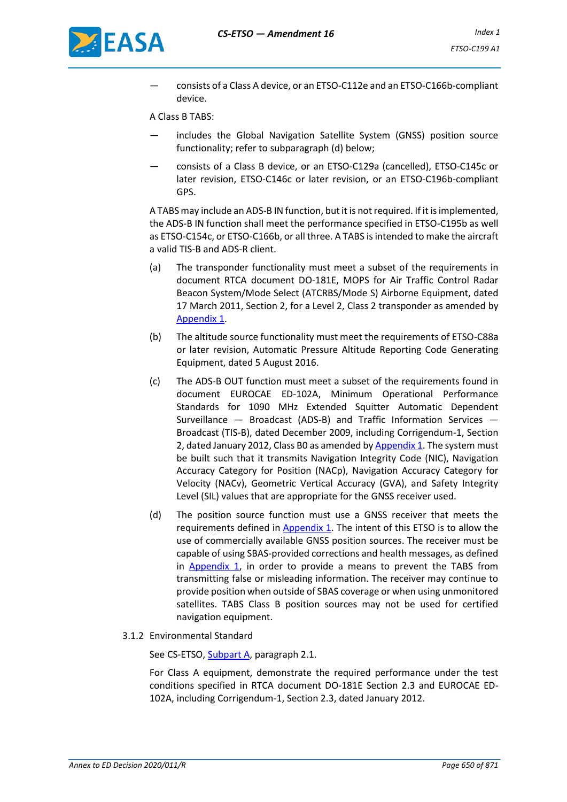

— consists of a Class A device, or an ETSO-C112e and an ETSO-C166b-compliant device.

A Class B TABS:

- includes the Global Navigation Satellite System (GNSS) position source functionality; refer to subparagraph (d) below;
- consists of a Class B device, or an ETSO-C129a (cancelled), ETSO-C145c or later revision, ETSO-C146c or later revision, or an ETSO-C196b-compliant GPS.

A TABS may include an ADS-B IN function, but it is not required. If it is implemented, the ADS-B IN function shall meet the performance specified in ETSO-C195b as well as ETSO-C154c, or ETSO-C166b, or all three. A TABS is intended to make the aircraft a valid TIS-B and ADS-R client.

- (a) The transponder functionality must meet a subset of the requirements in document RTCA document DO-181E, MOPS for Air Traffic Control Radar Beacon System/Mode Select (ATCRBS/Mode S) Airborne Equipment, dated 17 March 2011, Section 2, for a Level 2, Class 2 transponder as amended by [Appendix 1.](#page-4-0)
- (b) The altitude source functionality must meet the requirements of ETSO-C88a or later revision, Automatic Pressure Altitude Reporting Code Generating Equipment, dated 5 August 2016.
- (c) The ADS-B OUT function must meet a subset of the requirements found in document EUROCAE ED-102A, Minimum Operational Performance Standards for 1090 MHz Extended Squitter Automatic Dependent Surveillance — Broadcast (ADS-B) and Traffic Information Services — Broadcast (TIS-B), dated December 2009, including Corrigendum-1, Section 2, dated January 2012, Class B0 as amended b[y Appendix 1.](#page-4-0) The system must be built such that it transmits Navigation Integrity Code (NIC), Navigation Accuracy Category for Position (NACp), Navigation Accuracy Category for Velocity (NACv), Geometric Vertical Accuracy (GVA), and Safety Integrity Level (SIL) values that are appropriate for the GNSS receiver used.
- (d) The position source function must use a GNSS receiver that meets the requirements defined in [Appendix 1.](#page-4-0) The intent of this ETSO is to allow the use of commercially available GNSS position sources. The receiver must be capable of using SBAS-provided corrections and health messages, as defined in [Appendix 1,](#page-4-0) in order to provide a means to prevent the TABS from transmitting false or misleading information. The receiver may continue to provide position when outside of SBAS coverage or when using unmonitored satellites. TABS Class B position sources may not be used for certified navigation equipment.
- 3.1.2 Environmental Standard

See CS-ETSO, Subpart A, paragraph 2.1.

For Class A equipment, demonstrate the required performance under the test conditions specified in RTCA document DO-181E Section 2.3 and EUROCAE ED-102A, including Corrigendum-1, Section 2.3, dated January 2012.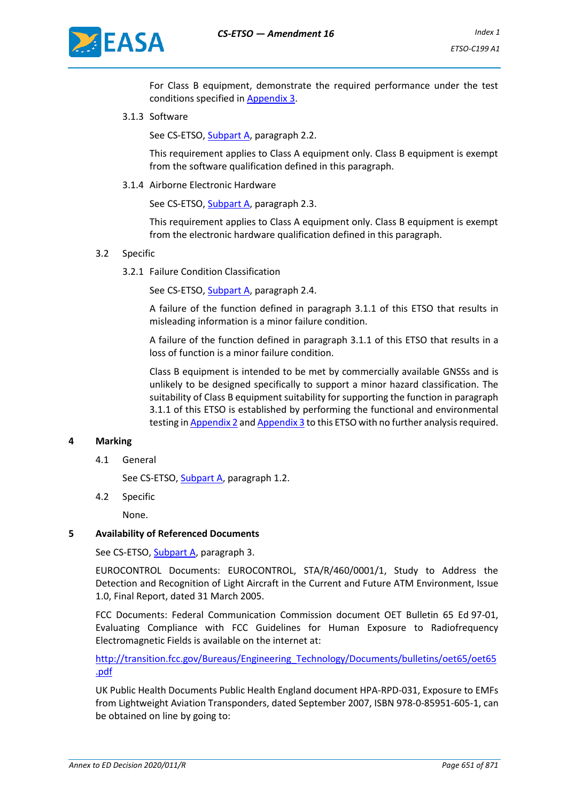

For Class B equipment, demonstrate the required performance under the test conditions specified i[n Appendix 3.](#page-31-0)

3.1.3 Software

See CS-ETSO, Subpart A, paragraph 2.2.

This requirement applies to Class A equipment only. Class B equipment is exempt from the software qualification defined in this paragraph.

3.1.4 Airborne Electronic Hardware

See CS-ETSO, Subpart A, paragraph 2.3.

This requirement applies to Class A equipment only. Class B equipment is exempt from the electronic hardware qualification defined in this paragraph.

#### 3.2 Specific

3.2.1 Failure Condition Classification

See CS-ETSO, Subpart A, paragraph 2.4.

A failure of the function defined in paragraph 3.1.1 of this ETSO that results in misleading information is a minor failure condition.

A failure of the function defined in paragraph 3.1.1 of this ETSO that results in a loss of function is a minor failure condition.

Class B equipment is intended to be met by commercially available GNSSs and is unlikely to be designed specifically to support a minor hazard classification. The suitability of Class B equipment suitability for supporting the function in paragraph 3.1.1 of this ETSO is established by performing the functional and environmental testing i[n Appendix 2](#page-18-0) an[d Appendix 3](#page-31-0) to this ETSO with no further analysis required.

#### **4 Marking**

4.1 General

See CS-ETSO, Subpart A, paragraph 1.2.

4.2 Specific

None.

#### **5 Availability of Referenced Documents**

See CS-ETSO, Subpart A, paragraph 3.

EUROCONTROL Documents: EUROCONTROL, STA/R/460/0001/1, Study to Address the Detection and Recognition of Light Aircraft in the Current and Future ATM Environment, Issue 1.0, Final Report, dated 31 March 2005.

FCC Documents: Federal Communication Commission document OET Bulletin 65 Ed 97-01, Evaluating Compliance with FCC Guidelines for Human Exposure to Radiofrequency Electromagnetic Fields is available on the internet at:

[http://transition.fcc.gov/Bureaus/Engineering\\_Technology/Documents/bulletins/oet65/oet65](http://transition.fcc.gov/Bureaus/Engineering_Technology/Documents/bulletins/oet65/oet65.pdf) [.pdf](http://transition.fcc.gov/Bureaus/Engineering_Technology/Documents/bulletins/oet65/oet65.pdf)

UK Public Health Documents Public Health England document HPA-RPD-031, Exposure to EMFs from Lightweight Aviation Transponders, dated September 2007, ISBN 978-0-85951-605-1, can be obtained on line by going to: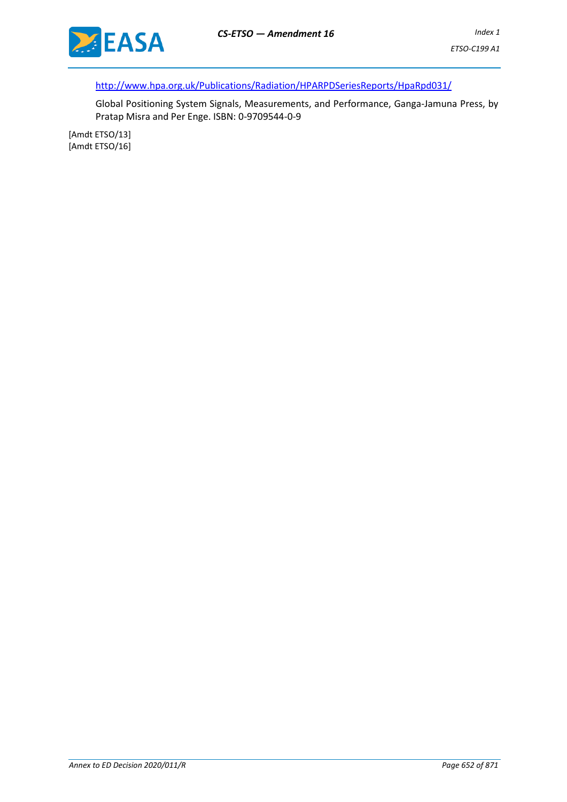

http://www.hpa.org.uk/Publications/Radiation/HPARPDSeriesReports/HpaRpd031/

Global Positioning System Signals, Measurements, and Performance, Ganga-Jamuna Press, by Pratap Misra and Per Enge. ISBN: 0-9709544-0-9

[Amdt ETSO/13] [Amdt ETSO/16]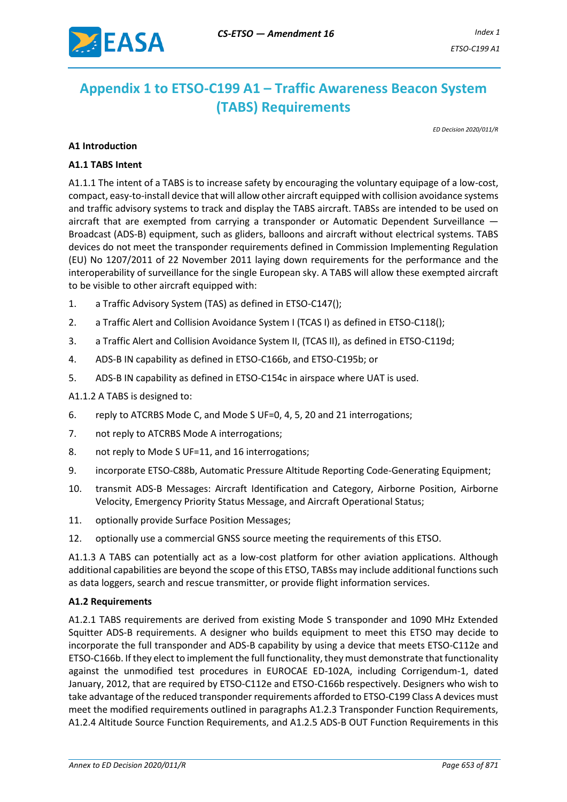

# <span id="page-4-0"></span>**Appendix 1 to ETSO-C199 A1 – Traffic Awareness Beacon System (TABS) Requirements**

*ED Decision 2020/011/R*

#### **A1 Introduction**

#### **A1.1 TABS Intent**

A1.1.1 The intent of a TABS is to increase safety by encouraging the voluntary equipage of a low-cost, compact, easy-to-install device that will allow other aircraft equipped with collision avoidance systems and traffic advisory systems to track and display the TABS aircraft. TABSs are intended to be used on aircraft that are exempted from carrying a transponder or Automatic Dependent Surveillance — Broadcast (ADS-B) equipment, such as gliders, balloons and aircraft without electrical systems. TABS devices do not meet the transponder requirements defined in Commission Implementing Regulation (EU) No 1207/2011 of 22 November 2011 laying down requirements for the performance and the interoperability of surveillance for the single European sky. A TABS will allow these exempted aircraft to be visible to other aircraft equipped with:

- 1. a Traffic Advisory System (TAS) as defined in ETSO-C147();
- 2. a Traffic Alert and Collision Avoidance System I (TCAS I) as defined in ETSO-C118();
- 3. a Traffic Alert and Collision Avoidance System II, (TCAS II), as defined in ETSO-C119d;
- 4. ADS-B IN capability as defined in ETSO-C166b, and ETSO-C195b; or
- 5. ADS-B IN capability as defined in ETSO-C154c in airspace where UAT is used.

#### A1.1.2 A TABS is designed to:

- 6. reply to ATCRBS Mode C, and Mode S UF=0, 4, 5, 20 and 21 interrogations;
- 7. not reply to ATCRBS Mode A interrogations;
- 8. not reply to Mode S UF=11, and 16 interrogations;
- 9. incorporate ETSO-C88b, Automatic Pressure Altitude Reporting Code-Generating Equipment;
- 10. transmit ADS-B Messages: Aircraft Identification and Category, Airborne Position, Airborne Velocity, Emergency Priority Status Message, and Aircraft Operational Status;
- 11. optionally provide Surface Position Messages;
- 12. optionally use a commercial GNSS source meeting the requirements of this ETSO.

A1.1.3 A TABS can potentially act as a low-cost platform for other aviation applications. Although additional capabilities are beyond the scope of this ETSO, TABSs may include additional functions such as data loggers, search and rescue transmitter, or provide flight information services.

#### **A1.2 Requirements**

A1.2.1 TABS requirements are derived from existing Mode S transponder and 1090 MHz Extended Squitter ADS-B requirements. A designer who builds equipment to meet this ETSO may decide to incorporate the full transponder and ADS-B capability by using a device that meets ETSO-C112e and ETSO-C166b. If they elect to implement the full functionality, they must demonstrate that functionality against the unmodified test procedures in EUROCAE ED-102A, including Corrigendum-1, dated January, 2012, that are required by ETSO-C112e and ETSO-C166b respectively. Designers who wish to take advantage of the reduced transponder requirements afforded to ETSO-C199 Class A devices must meet the modified requirements outlined in paragraphs A1.2.3 Transponder Function Requirements, A1.2.4 Altitude Source Function Requirements, and A1.2.5 ADS-B OUT Function Requirements in this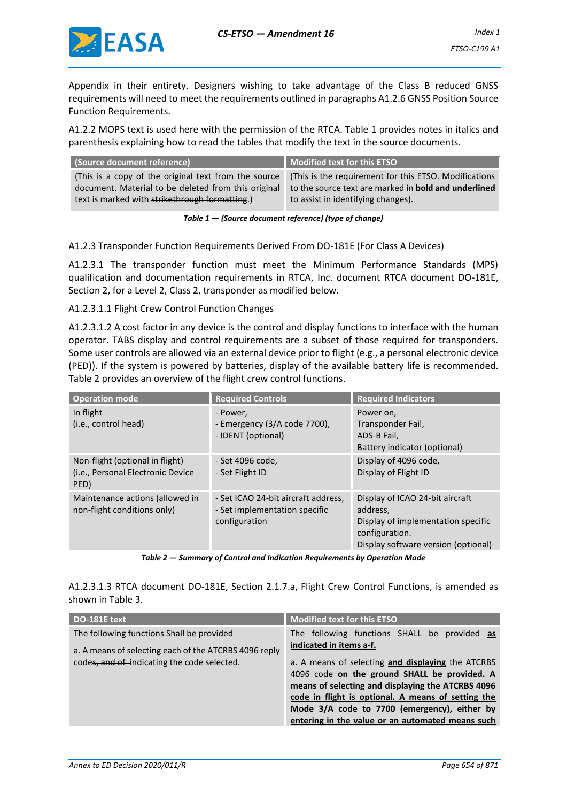

Appendix in their entirety. Designers wishing to take advantage of the Class B reduced GNSS requirements will need to meet the requirements outlined in paragraphs A1.2.6 GNSS Position Source Function Requirements.

A1.2.2 MOPS text is used here with the permission of the RTCA. Table 1 provides notes in italics and parenthesis explaining how to read the tables that modify the text in the source documents.

| (Source document reference)                          | Modified text for this ETSO                                 |
|------------------------------------------------------|-------------------------------------------------------------|
| (This is a copy of the original text from the source | (This is the requirement for this ETSO. Modifications       |
| document. Material to be deleted from this original  | to the source text are marked in <b>bold and underlined</b> |
| text is marked with strikethrough formatting.)       | to assist in identifying changes).                          |

*Table 1 — (Source document reference) (type of change)*

A1.2.3 Transponder Function Requirements Derived From DO-181E (For Class A Devices)

A1.2.3.1 The transponder function must meet the Minimum Performance Standards (MPS) qualification and documentation requirements in RTCA, Inc. document RTCA document DO-181E, Section 2, for a Level 2, Class 2, transponder as modified below.

A1.2.3.1.1 Flight Crew Control Function Changes

A1.2.3.1.2 A cost factor in any device is the control and display functions to interface with the human operator. TABS display and control requirements are a subset of those required for transponders. Some user controls are allowed via an external device prior to flight (e.g., a personal electronic device (PED)). If the system is powered by batteries, display of the available battery life is recommended. Table 2 provides an overview of the flight crew control functions.

| <b>Operation mode</b>                                                        | <b>Required Controls</b>                                                              | <b>Required Indicators</b>                                                                                                                 |
|------------------------------------------------------------------------------|---------------------------------------------------------------------------------------|--------------------------------------------------------------------------------------------------------------------------------------------|
| In flight<br>(i.e., control head)                                            | - Power,<br>- Emergency (3/A code 7700),<br>- IDENT (optional)                        | Power on,<br>Transponder Fail,<br>ADS-B Fail,<br>Battery indicator (optional)                                                              |
| Non-flight (optional in flight)<br>(i.e., Personal Electronic Device<br>PED) | - Set 4096 code,<br>- Set Flight ID                                                   | Display of 4096 code,<br>Display of Flight ID                                                                                              |
| Maintenance actions (allowed in<br>non-flight conditions only)               | - Set ICAO 24-bit aircraft address,<br>- Set implementation specific<br>configuration | Display of ICAO 24-bit aircraft<br>address,<br>Display of implementation specific<br>configuration.<br>Display software version (optional) |

*Table 2 — Summary of Control and Indication Requirements by Operation Mode*

A1.2.3.1.3 RTCA document DO-181E, Section 2.1.7.a, Flight Crew Control Functions, is amended as shown in Table 3.

| DO-181E text                                          | <b>Modified text for this ETSO</b>                 |
|-------------------------------------------------------|----------------------------------------------------|
| The following functions Shall be provided             | The following functions SHALL be provided as       |
| a. A means of selecting each of the ATCRBS 4096 reply | indicated in items a-f.                            |
| codes, and of indicating the code selected.           | a. A means of selecting and displaying the ATCRBS  |
|                                                       | 4096 code on the ground SHALL be provided. A       |
|                                                       | means of selecting and displaying the ATCRBS 4096  |
|                                                       | code in flight is optional. A means of setting the |
|                                                       | Mode 3/A code to 7700 (emergency), either by       |
|                                                       | entering in the value or an automated means such   |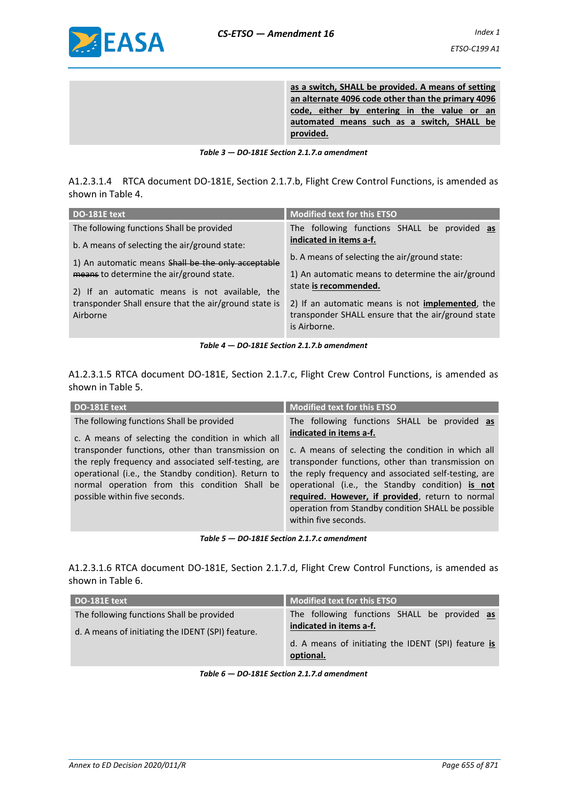

**as a switch, SHALL be provided. A means of setting an alternate 4096 code other than the primary 4096 code, either by entering in the value or an automated means such as a switch, SHALL be provided.**

*Table 3 — DO-181E Section 2.1.7.a amendment*

A1.2.3.1.4 RTCA document DO-181E, Section 2.1.7.b, Flight Crew Control Functions, is amended as shown in Table 4.

| DO-181E text                                                      | <b>Modified text for this ETSO</b>                                                                                             |
|-------------------------------------------------------------------|--------------------------------------------------------------------------------------------------------------------------------|
| The following functions Shall be provided                         | The following functions SHALL be provided as                                                                                   |
| b. A means of selecting the air/ground state:                     | indicated in items a-f.                                                                                                        |
| 1) An automatic means Shall be the only acceptable                | b. A means of selecting the air/ground state:                                                                                  |
| means to determine the air/ground state.                          | 1) An automatic means to determine the air/ground                                                                              |
| 2) If an automatic means is not available, the                    | state is recommended.                                                                                                          |
| transponder Shall ensure that the air/ground state is<br>Airborne | 2) If an automatic means is not <b>implemented</b> , the<br>transponder SHALL ensure that the air/ground state<br>is Airborne. |

*Table 4 — DO-181E Section 2.1.7.b amendment*

A1.2.3.1.5 RTCA document DO-181E, Section 2.1.7.c, Flight Crew Control Functions, is amended as shown in Table 5.

| DO-181E text                                                                                                                                                                                   | <b>Modified text for this ETSO</b>                                                                                                                                                                                                                                                              |
|------------------------------------------------------------------------------------------------------------------------------------------------------------------------------------------------|-------------------------------------------------------------------------------------------------------------------------------------------------------------------------------------------------------------------------------------------------------------------------------------------------|
| The following functions Shall be provided<br>c. A means of selecting the condition in which all<br>transponder functions, other than transmission on                                           | The following functions SHALL be provided as<br>indicated in items a-f.<br>c. A means of selecting the condition in which all                                                                                                                                                                   |
| the reply frequency and associated self-testing, are<br>operational (i.e., the Standby condition). Return to<br>normal operation from this condition Shall be<br>possible within five seconds. | transponder functions, other than transmission on<br>the reply frequency and associated self-testing, are<br>operational (i.e., the Standby condition) is not<br>required. However, if provided, return to normal<br>operation from Standby condition SHALL be possible<br>within five seconds. |

*Table 5 — DO-181E Section 2.1.7.c amendment*

A1.2.3.1.6 RTCA document DO-181E, Section 2.1.7.d, Flight Crew Control Functions, is amended as shown in Table 6.

| DO-181E text                                                                                   | <b>Modified text for this ETSO</b>                                      |
|------------------------------------------------------------------------------------------------|-------------------------------------------------------------------------|
| The following functions Shall be provided<br>d. A means of initiating the IDENT (SPI) feature. | The following functions SHALL be provided as<br>indicated in items a-f. |
|                                                                                                | d. A means of initiating the IDENT (SPI) feature is<br>optional.        |

*Table 6 — DO-181E Section 2.1.7.d amendment*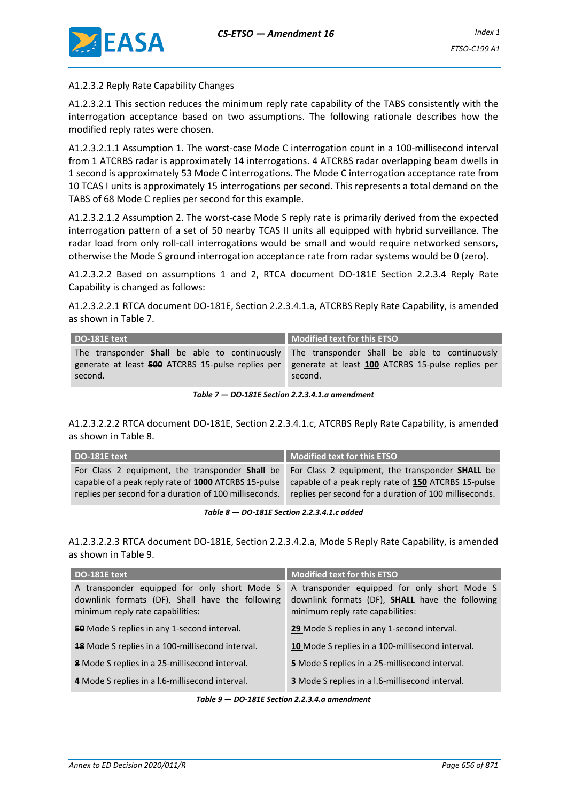

#### A1.2.3.2 Reply Rate Capability Changes

A1.2.3.2.1 This section reduces the minimum reply rate capability of the TABS consistently with the interrogation acceptance based on two assumptions. The following rationale describes how the modified reply rates were chosen.

A1.2.3.2.1.1 Assumption 1. The worst-case Mode C interrogation count in a 100-millisecond interval from 1 ATCRBS radar is approximately 14 interrogations. 4 ATCRBS radar overlapping beam dwells in 1 second is approximately 53 Mode C interrogations. The Mode C interrogation acceptance rate from 10 TCAS I units is approximately 15 interrogations per second. This represents a total demand on the TABS of 68 Mode C replies per second for this example.

A1.2.3.2.1.2 Assumption 2. The worst-case Mode S reply rate is primarily derived from the expected interrogation pattern of a set of 50 nearby TCAS II units all equipped with hybrid surveillance. The radar load from only roll-call interrogations would be small and would require networked sensors, otherwise the Mode S ground interrogation acceptance rate from radar systems would be 0 (zero).

A1.2.3.2.2 Based on assumptions 1 and 2, RTCA document DO-181E Section 2.2.3.4 Reply Rate Capability is changed as follows:

A1.2.3.2.2.1 RTCA document DO-181E, Section 2.2.3.4.1.a, ATCRBS Reply Rate Capability, is amended as shown in Table 7.

| DO-181E text | Modified text for this ETSO                                                                         |
|--------------|-----------------------------------------------------------------------------------------------------|
|              | The transponder <b>Shall</b> be able to continuously The transponder Shall be able to continuously  |
|              | generate at least 500 ATCRBS 15-pulse replies per generate at least 100 ATCRBS 15-pulse replies per |
| second.      | second.                                                                                             |

*Table 7 — DO-181E Section 2.2.3.4.1.a amendment*

A1.2.3.2.2.2 RTCA document DO-181E, Section 2.2.3.4.1.c, ATCRBS Reply Rate Capability, is amended as shown in Table 8.

| DO-181E text                                           | Modified text for this ETSO                                                                     |
|--------------------------------------------------------|-------------------------------------------------------------------------------------------------|
|                                                        | For Class 2 equipment, the transponder Shall be For Class 2 equipment, the transponder SHALL be |
| capable of a peak reply rate of 1000 ATCRBS 15-pulse   | capable of a peak reply rate of 150 ATCRBS 15-pulse                                             |
| replies per second for a duration of 100 milliseconds. | replies per second for a duration of 100 milliseconds.                                          |

*Table 8 — DO-181E Section 2.2.3.4.1.c added*

A1.2.3.2.2.3 RTCA document DO-181E, Section 2.2.3.4.2.a, Mode S Reply Rate Capability, is amended as shown in Table 9.

| DO-181E text                                                                                                                        | <b>Modified text for this ETSO</b>                                                                                                  |
|-------------------------------------------------------------------------------------------------------------------------------------|-------------------------------------------------------------------------------------------------------------------------------------|
| A transponder equipped for only short Mode S<br>downlink formats (DF), Shall have the following<br>minimum reply rate capabilities: | A transponder equipped for only short Mode S<br>downlink formats (DF), SHALL have the following<br>minimum reply rate capabilities: |
| <b>50</b> Mode S replies in any 1-second interval.                                                                                  | 29 Mode S replies in any 1-second interval.                                                                                         |
| <b>18</b> Mode S replies in a 100-millisecond interval.                                                                             | 10 Mode S replies in a 100-millisecond interval.                                                                                    |
| <b>8</b> Mode S replies in a 25-millisecond interval.                                                                               | 5 Mode S replies in a 25-millisecond interval.                                                                                      |
| 4 Mode S replies in a l.6-millisecond interval.                                                                                     | <b>3</b> Mode S replies in a I.6-millisecond interval.                                                                              |

*Table 9 — DO-181E Section 2.2.3.4.a amendment*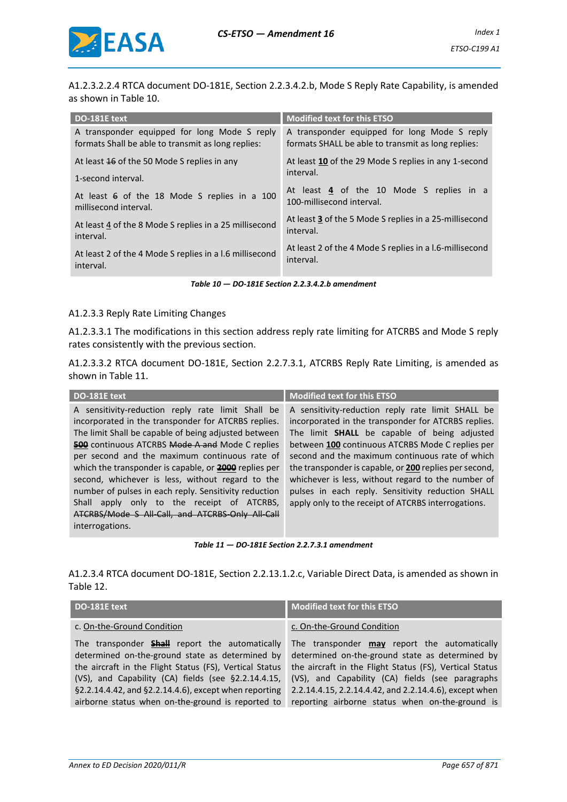

A1.2.3.2.2.4 RTCA document DO-181E, Section 2.2.3.4.2.b, Mode S Reply Rate Capability, is amended as shown in Table 10.

| DO-181E text                                            | <b>Modified text for this ETSO</b>                      |
|---------------------------------------------------------|---------------------------------------------------------|
| A transponder equipped for long Mode S reply            | A transponder equipped for long Mode S reply            |
| formats Shall be able to transmit as long replies:      | formats SHALL be able to transmit as long replies:      |
| At least 16 of the 50 Mode S replies in any             | At least 10 of the 29 Mode S replies in any 1-second    |
| 1-second interval.                                      | interval.                                               |
| At least 6 of the 18 Mode S replies in a 100            | At least 4 of the 10 Mode S replies in a                |
| millisecond interval.                                   | 100-millisecond interval.                               |
| At least 4 of the 8 Mode S replies in a 25 millisecond  | At least 3 of the 5 Mode S replies in a 25-millisecond  |
| interval.                                               | interval.                                               |
| At least 2 of the 4 Mode S replies in a 1.6 millisecond | At least 2 of the 4 Mode S replies in a 1.6-millisecond |
| interval.                                               | interval.                                               |

*Table 10 — DO-181E Section 2.2.3.4.2.b amendment*

#### A1.2.3.3 Reply Rate Limiting Changes

A1.2.3.3.1 The modifications in this section address reply rate limiting for ATCRBS and Mode S reply rates consistently with the previous section.

A1.2.3.3.2 RTCA document DO-181E, Section 2.2.7.3.1, ATCRBS Reply Rate Limiting, is amended as shown in Table 11.

| <b>Modified text for this ETSO</b><br>DO-181E text                                                                                                                                                                                                                                                                                                                                                                                                                                                                                                                               |                                                                                                                                                                                                                                                                                                                                                                                                                                                                                             |
|----------------------------------------------------------------------------------------------------------------------------------------------------------------------------------------------------------------------------------------------------------------------------------------------------------------------------------------------------------------------------------------------------------------------------------------------------------------------------------------------------------------------------------------------------------------------------------|---------------------------------------------------------------------------------------------------------------------------------------------------------------------------------------------------------------------------------------------------------------------------------------------------------------------------------------------------------------------------------------------------------------------------------------------------------------------------------------------|
| A sensitivity-reduction reply rate limit Shall be<br>incorporated in the transponder for ATCRBS replies.<br>The limit Shall be capable of being adjusted between<br><b>500</b> continuous ATCRBS Mode A and Mode C replies<br>per second and the maximum continuous rate of<br>which the transponder is capable, or <b>2000</b> replies per<br>second, whichever is less, without regard to the<br>number of pulses in each reply. Sensitivity reduction<br>apply only to the receipt of ATCRBS,<br>Shall<br>ATCRBS/Mode S All-Call, and ATCRBS-Only All-Call<br>interrogations. | A sensitivity-reduction reply rate limit SHALL be<br>incorporated in the transponder for ATCRBS replies.<br>The limit SHALL be capable of being adjusted<br>between 100 continuous ATCRBS Mode C replies per<br>second and the maximum continuous rate of which<br>the transponder is capable, or 200 replies per second,<br>whichever is less, without regard to the number of<br>pulses in each reply. Sensitivity reduction SHALL<br>apply only to the receipt of ATCRBS interrogations. |

*Table 11 — DO-181E Section 2.2.7.3.1 amendment*

A1.2.3.4 RTCA document DO-181E, Section 2.2.13.1.2.c, Variable Direct Data, is amended as shown in Table 12.

| DO-181E text                                                                                                                                                                                                                                                                        | Modified text for this ETSO                                                                                                                                                                                                                                                     |
|-------------------------------------------------------------------------------------------------------------------------------------------------------------------------------------------------------------------------------------------------------------------------------------|---------------------------------------------------------------------------------------------------------------------------------------------------------------------------------------------------------------------------------------------------------------------------------|
| c. On-the-Ground Condition                                                                                                                                                                                                                                                          | c. On-the-Ground Condition                                                                                                                                                                                                                                                      |
| The transponder <b>Shall</b> report the automatically<br>determined on-the-ground state as determined by<br>the aircraft in the Flight Status (FS), Vertical Status<br>(VS), and Capability (CA) fields (see §2.2.14.4.15,<br>§2.2.14.4.42, and §2.2.14.4.6), except when reporting | The transponder <b>may</b> report the automatically<br>determined on-the-ground state as determined by<br>the aircraft in the Flight Status (FS), Vertical Status<br>(VS), and Capability (CA) fields (see paragraphs<br>2.2.14.4.15, 2.2.14.4.42, and 2.2.14.4.6), except when |
| airborne status when on-the-ground is reported to                                                                                                                                                                                                                                   | reporting airborne status when on-the-ground is                                                                                                                                                                                                                                 |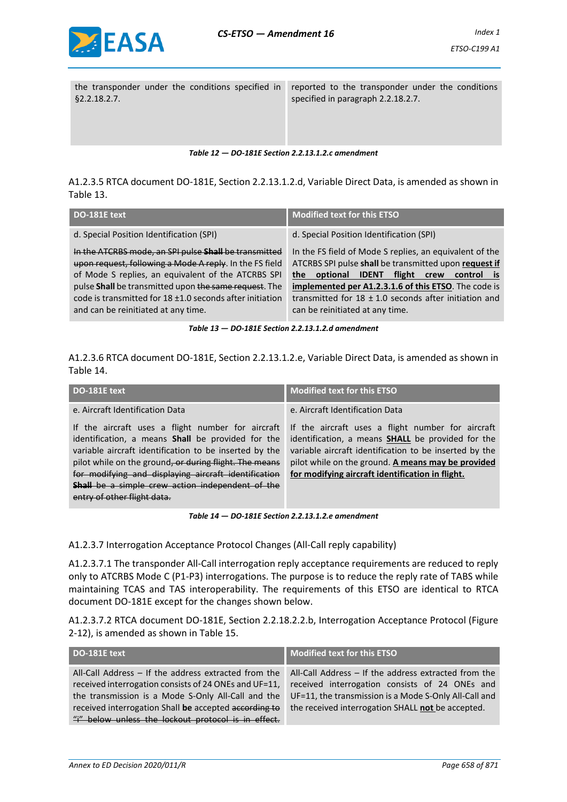

the transponder under the conditions specified in §2.2.18.2.7.

reported to the transponder under the conditions specified in paragraph 2.2.18.2.7.

*Table 12 — DO-181E Section 2.2.13.1.2.c amendment*

A1.2.3.5 RTCA document DO-181E, Section 2.2.13.1.2.d, Variable Direct Data, is amended as shown in Table 13.

| DO-181E text                                                                                                                                                                                                                                                                                                                       | <b>Modified text for this ETSO</b>                                                                                                                                                                                                                                                                                                       |
|------------------------------------------------------------------------------------------------------------------------------------------------------------------------------------------------------------------------------------------------------------------------------------------------------------------------------------|------------------------------------------------------------------------------------------------------------------------------------------------------------------------------------------------------------------------------------------------------------------------------------------------------------------------------------------|
| d. Special Position Identification (SPI)                                                                                                                                                                                                                                                                                           | d. Special Position Identification (SPI)                                                                                                                                                                                                                                                                                                 |
| In the ATCRBS mode, an SPI pulse Shall be transmitted<br>upon request, following a Mode A reply. In the FS field<br>of Mode S replies, an equivalent of the ATCRBS SPI<br>pulse Shall be transmitted upon the same request. The<br>code is transmitted for 18 ±1.0 seconds after initiation<br>and can be reinitiated at any time. | In the FS field of Mode S replies, an equivalent of the<br>ATCRBS SPI pulse shall be transmitted upon request if<br><b>IDENT</b><br>the optional<br>flight<br>crew<br>control is<br>implemented per A1.2.3.1.6 of this ETSO. The code is<br>transmitted for $18 \pm 1.0$ seconds after initiation and<br>can be reinitiated at any time. |
|                                                                                                                                                                                                                                                                                                                                    |                                                                                                                                                                                                                                                                                                                                          |

*Table 13 — DO-181E Section 2.2.13.1.2.d amendment*

A1.2.3.6 RTCA document DO-181E, Section 2.2.13.1.2.e, Variable Direct Data, is amended as shown in Table 14.

| DO-181E text                                                                                                                                                                                                                                                                                                                                                                 | <b>Modified text for this ETSO</b>                                                                                                                                                                                                                                                |
|------------------------------------------------------------------------------------------------------------------------------------------------------------------------------------------------------------------------------------------------------------------------------------------------------------------------------------------------------------------------------|-----------------------------------------------------------------------------------------------------------------------------------------------------------------------------------------------------------------------------------------------------------------------------------|
| e. Aircraft Identification Data                                                                                                                                                                                                                                                                                                                                              | e. Aircraft Identification Data                                                                                                                                                                                                                                                   |
| If the aircraft uses a flight number for aircraft<br>identification, a means <b>Shall</b> be provided for the<br>variable aircraft identification to be inserted by the<br>pilot while on the ground, or during flight. The means<br>for modifying and displaying aircraft identification<br>Shall be a simple crew action independent of the<br>entry of other flight data. | If the aircraft uses a flight number for aircraft<br>identification, a means <b>SHALL</b> be provided for the<br>variable aircraft identification to be inserted by the<br>pilot while on the ground. A means may be provided<br>for modifying aircraft identification in flight. |

*Table 14 — DO-181E Section 2.2.13.1.2.e amendment*

A1.2.3.7 Interrogation Acceptance Protocol Changes (All-Call reply capability)

A1.2.3.7.1 The transponder All-Call interrogation reply acceptance requirements are reduced to reply only to ATCRBS Mode C (P1-P3) interrogations. The purpose is to reduce the reply rate of TABS while maintaining TCAS and TAS interoperability. The requirements of this ETSO are identical to RTCA document DO-181E except for the changes shown below.

A1.2.3.7.2 RTCA document DO-181E, Section 2.2.18.2.2.b, Interrogation Acceptance Protocol (Figure 2-12), is amended as shown in Table 15.

| DO-181E text                                                                                                                                                                                                                 | <b>Modified text for this ETSO</b>                                                                                                                                                                                   |
|------------------------------------------------------------------------------------------------------------------------------------------------------------------------------------------------------------------------------|----------------------------------------------------------------------------------------------------------------------------------------------------------------------------------------------------------------------|
| All-Call Address - If the address extracted from the<br>received interrogation consists of 24 ONEs and UF=11,<br>the transmission is a Mode S-Only All-Call and the<br>received interrogation Shall be accepted according to | All-Call Address - If the address extracted from the<br>received interrogation consists of 24 ONEs and<br>UF=11, the transmission is a Mode S-Only All-Call and<br>the received interrogation SHALL not be accepted. |
| "i" below unless the lockout protocol is in effect.                                                                                                                                                                          |                                                                                                                                                                                                                      |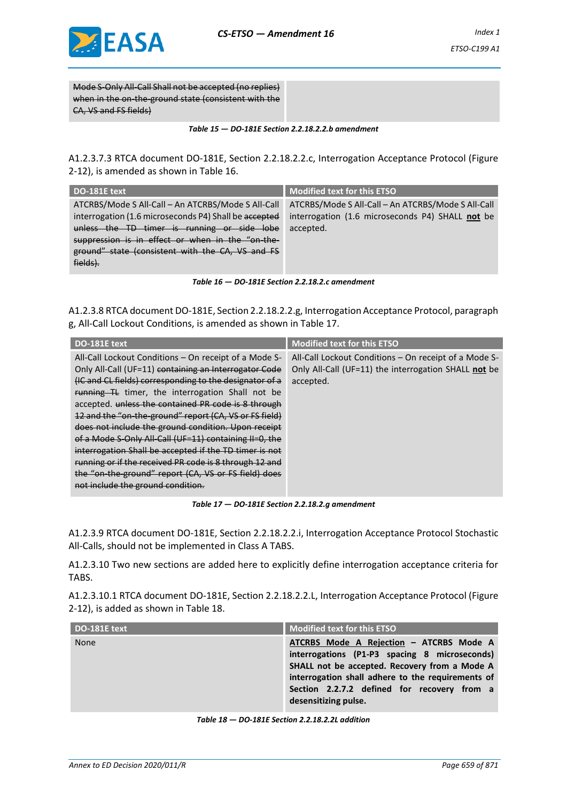

Mode S-Only All-Call Shall not be accepted (no replies) when in the on-the-ground state (consistent with the CA, VS and FS fields)

*Table 15 — DO-181E Section 2.2.18.2.2.b amendment*

A1.2.3.7.3 RTCA document DO-181E, Section 2.2.18.2.2.c, Interrogation Acceptance Protocol (Figure 2-12), is amended as shown in Table 16.

| <b>Modified text for this ETSO</b>                 |
|----------------------------------------------------|
| ATCRBS/Mode S All-Call - An ATCRBS/Mode S All-Call |
| interrogation (1.6 microseconds P4) SHALL not be   |
| accepted.                                          |
|                                                    |
|                                                    |
|                                                    |
|                                                    |

|  | Table 16 – DO-181E Section 2.2.18.2.c amendment |  |  |
|--|-------------------------------------------------|--|--|
|--|-------------------------------------------------|--|--|

A1.2.3.8 RTCA document DO-181E, Section 2.2.18.2.2.g, Interrogation Acceptance Protocol, paragraph g, All-Call Lockout Conditions, is amended as shown in Table 17.

| DO-181E text                                            | <b>Modified text for this ETSO</b>                    |
|---------------------------------------------------------|-------------------------------------------------------|
| All-Call Lockout Conditions – On receipt of a Mode S-   | All-Call Lockout Conditions – On receipt of a Mode S- |
| Only All-Call (UF=11) containing an Interrogator Code   | Only All-Call (UF=11) the interrogation SHALL not be  |
| (IC and CL fields) corresponding to the designator of a | accepted.                                             |
| running TL timer, the interrogation Shall not be        |                                                       |
| accepted. unless the contained PR code is 8 through     |                                                       |
| 12 and the "on-the-ground" report (CA, VS or FS field)  |                                                       |
| does not include the ground condition. Upon receipt     |                                                       |
| of a Mode S-Only All-Call (UF=11) containing II=0, the  |                                                       |
| interrogation Shall be accepted if the TD timer is not  |                                                       |
| running or if the received PR code is 8 through 12 and  |                                                       |
| the "on-the-ground" report (CA, VS or FS field) does    |                                                       |
| not include the ground condition.                       |                                                       |

*Table 17 — DO-181E Section 2.2.18.2.g amendment*

A1.2.3.9 RTCA document DO-181E, Section 2.2.18.2.2.i, Interrogation Acceptance Protocol Stochastic All-Calls, should not be implemented in Class A TABS.

A1.2.3.10 Two new sections are added here to explicitly define interrogation acceptance criteria for TABS.

A1.2.3.10.1 RTCA document DO-181E, Section 2.2.18.2.2.L, Interrogation Acceptance Protocol (Figure 2-12), is added as shown in Table 18.

| DO-181E text | <b>Modified text for this ETSO</b>                                                                                                                                                                                                                                    |
|--------------|-----------------------------------------------------------------------------------------------------------------------------------------------------------------------------------------------------------------------------------------------------------------------|
| <b>None</b>  | ATCRBS Mode A Rejection - ATCRBS Mode A<br>interrogations (P1-P3 spacing 8 microseconds)<br>SHALL not be accepted. Recovery from a Mode A<br>interrogation shall adhere to the requirements of<br>Section 2.2.7.2 defined for recovery from a<br>desensitizing pulse. |

*Table 18 — DO-181E Section 2.2.18.2.2L addition*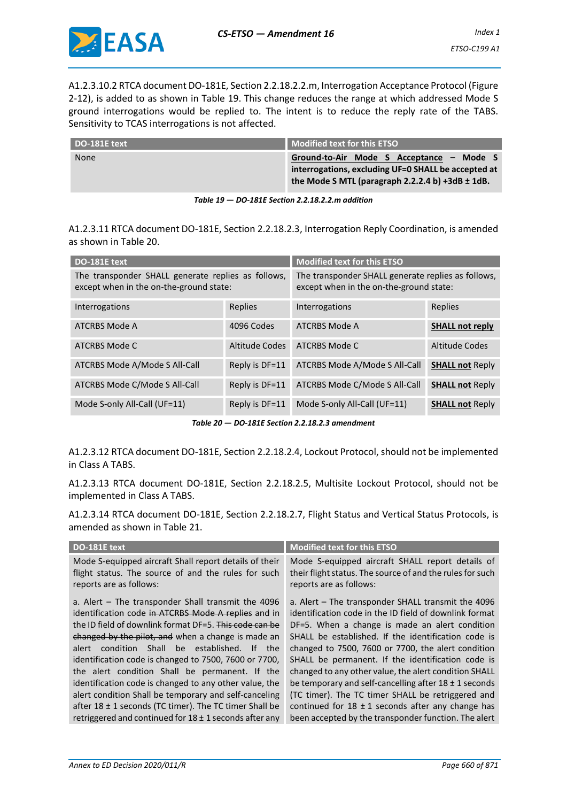A1.2.3.10.2 RTCA document DO-181E, Section 2.2.18.2.2.m, Interrogation Acceptance Protocol (Figure 2-12), is added to as shown in Table 19. This change reduces the range at which addressed Mode S ground interrogations would be replied to. The intent is to reduce the reply rate of the TABS. Sensitivity to TCAS interrogations is not affected.

| DO-181E text | Modified text for this ETSO                                                                                                                             |  |  |
|--------------|---------------------------------------------------------------------------------------------------------------------------------------------------------|--|--|
| None         | Ground-to-Air Mode S Acceptance - Mode S<br>interrogations, excluding UF=0 SHALL be accepted at<br>the Mode S MTL (paragraph 2.2.2.4 b) +3dB $\pm$ 1dB. |  |  |

*Table 19 — DO-181E Section 2.2.18.2.2.m addition*

A1.2.3.11 RTCA document DO-181E, Section 2.2.18.2.3, Interrogation Reply Coordination, is amended as shown in Table 20.

| DO-181E text                                                                                  |                | <b>Modified text for this ETSO</b>                                                            |                        |
|-----------------------------------------------------------------------------------------------|----------------|-----------------------------------------------------------------------------------------------|------------------------|
| The transponder SHALL generate replies as follows,<br>except when in the on-the-ground state: |                | The transponder SHALL generate replies as follows,<br>except when in the on-the-ground state: |                        |
| Interrogations                                                                                | Replies        | Interrogations                                                                                | Replies                |
| ATCRBS Mode A                                                                                 | 4096 Codes     | ATCRBS Mode A                                                                                 | <b>SHALL not reply</b> |
| ATCRBS Mode C                                                                                 | Altitude Codes | ATCRBS Mode C                                                                                 | Altitude Codes         |
| ATCRBS Mode A/Mode S All-Call                                                                 | Reply is DF=11 | ATCRBS Mode A/Mode S All-Call                                                                 | <b>SHALL not Reply</b> |
| ATCRBS Mode C/Mode S All-Call                                                                 | Reply is DF=11 | ATCRBS Mode C/Mode S All-Call                                                                 | <b>SHALL not Reply</b> |
| Mode S-only All-Call (UF=11)                                                                  | Reply is DF=11 | Mode S-only All-Call (UF=11)                                                                  | <b>SHALL not Reply</b> |

*Table 20 — DO-181E Section 2.2.18.2.3 amendment*

A1.2.3.12 RTCA document DO-181E, Section 2.2.18.2.4, Lockout Protocol, should not be implemented in Class A TABS.

A1.2.3.13 RTCA document DO-181E, Section 2.2.18.2.5, Multisite Lockout Protocol, should not be implemented in Class A TABS.

A1.2.3.14 RTCA document DO-181E, Section 2.2.18.2.7, Flight Status and Vertical Status Protocols, is amended as shown in Table 21.

| DO-181E text                                                                                                                                                                                                                                                                                                                                                                                                                                                                                                                                                                                                                              | <b>Modified text for this ETSO</b>                                                                                                                                                                                                                                                                                                                                                                                                                                                                                                                                                                                           |
|-------------------------------------------------------------------------------------------------------------------------------------------------------------------------------------------------------------------------------------------------------------------------------------------------------------------------------------------------------------------------------------------------------------------------------------------------------------------------------------------------------------------------------------------------------------------------------------------------------------------------------------------|------------------------------------------------------------------------------------------------------------------------------------------------------------------------------------------------------------------------------------------------------------------------------------------------------------------------------------------------------------------------------------------------------------------------------------------------------------------------------------------------------------------------------------------------------------------------------------------------------------------------------|
| Mode S-equipped aircraft Shall report details of their<br>flight status. The source of and the rules for such<br>reports are as follows:                                                                                                                                                                                                                                                                                                                                                                                                                                                                                                  | Mode S-equipped aircraft SHALL report details of<br>their flight status. The source of and the rules for such<br>reports are as follows:                                                                                                                                                                                                                                                                                                                                                                                                                                                                                     |
| a. Alert – The transponder Shall transmit the 4096<br>identification code in ATCRBS Mode A replies and in<br>the ID field of downlink format DF=5. This code can be<br>changed by the pilot, and when a change is made an<br>condition Shall be established.<br>alert<br>If the<br>identification code is changed to 7500, 7600 or 7700,<br>the alert condition Shall be permanent. If the<br>identification code is changed to any other value, the<br>alert condition Shall be temporary and self-canceling<br>after $18 \pm 1$ seconds (TC timer). The TC timer Shall be<br>retriggered and continued for $18 \pm 1$ seconds after any | a. Alert - The transponder SHALL transmit the 4096<br>identification code in the ID field of downlink format<br>DF=5. When a change is made an alert condition<br>SHALL be established. If the identification code is<br>changed to 7500, 7600 or 7700, the alert condition<br>SHALL be permanent. If the identification code is<br>changed to any other value, the alert condition SHALL<br>be temporary and self-cancelling after $18 \pm 1$ seconds<br>(TC timer). The TC timer SHALL be retriggered and<br>continued for $18 \pm 1$ seconds after any change has<br>been accepted by the transponder function. The alert |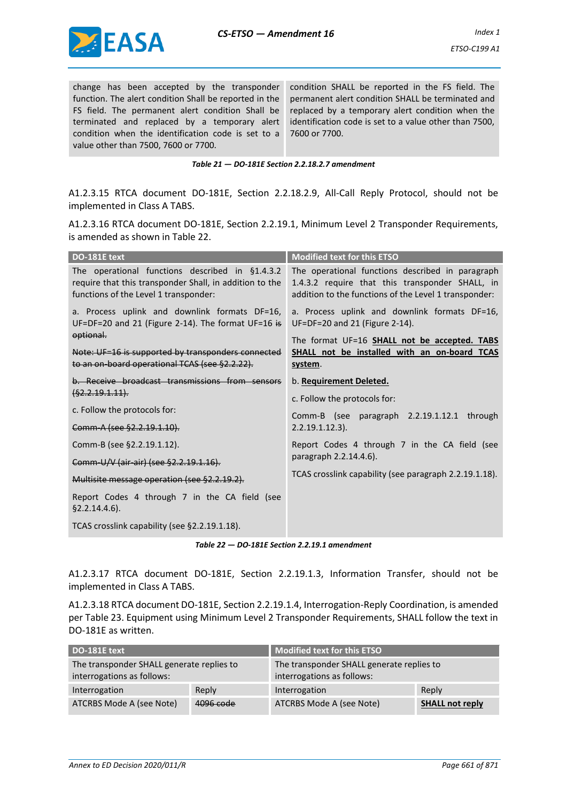

change has been accepted by the transponder function. The alert condition Shall be reported in the FS field. The permanent alert condition Shall be terminated and replaced by a temporary alert condition when the identification code is set to a value other than 7500, 7600 or 7700.

condition SHALL be reported in the FS field. The permanent alert condition SHALL be terminated and replaced by a temporary alert condition when the identification code is set to a value other than 7500, 7600 or 7700.

*Table 21 — DO-181E Section 2.2.18.2.7 amendment*

A1.2.3.15 RTCA document DO-181E, Section 2.2.18.2.9, All-Call Reply Protocol, should not be implemented in Class A TABS.

A1.2.3.16 RTCA document DO-181E, Section 2.2.19.1, Minimum Level 2 Transponder Requirements, is amended as shown in Table 22.

| DO-181E text                                                                                                                                        | <b>Modified text for this ETSO</b>                                                                                                                           |  |
|-----------------------------------------------------------------------------------------------------------------------------------------------------|--------------------------------------------------------------------------------------------------------------------------------------------------------------|--|
| The operational functions described in §1.4.3.2<br>require that this transponder Shall, in addition to the<br>functions of the Level 1 transponder: | The operational functions described in paragraph<br>1.4.3.2 require that this transponder SHALL, in<br>addition to the functions of the Level 1 transponder: |  |
| a. Process uplink and downlink formats DF=16,<br>UF=DF=20 and 21 (Figure 2-14). The format UF=16 is                                                 | a. Process uplink and downlink formats DF=16,<br>UF=DF=20 and 21 (Figure 2-14).                                                                              |  |
| optional.<br>Note: UF=16 is supported by transponders connected<br>to an on-board operational TCAS (see §2.2.22).                                   | The format UF=16 SHALL not be accepted. TABS<br><b>SHALL not be installed with an on-board TCAS</b><br>system.                                               |  |
| b. Receive broadcast transmissions from sensors<br>(§2.2.19.1.11).                                                                                  | b. Requirement Deleted.                                                                                                                                      |  |
|                                                                                                                                                     | c. Follow the protocols for:                                                                                                                                 |  |
| c. Follow the protocols for:                                                                                                                        | Comm-B (see paragraph 2.2.19.1.12.1 through                                                                                                                  |  |
| Comm-A (see §2.2.19.1.10).                                                                                                                          | $2.2.19.1.12.3$ ).                                                                                                                                           |  |
| Comm-B (see §2.2.19.1.12).                                                                                                                          | Report Codes 4 through 7 in the CA field (see                                                                                                                |  |
| Comm-U/V (air-air) (see §2.2.19.1.16).                                                                                                              | paragraph 2.2.14.4.6).                                                                                                                                       |  |
| Multisite message operation (see §2.2.19.2).                                                                                                        | TCAS crosslink capability (see paragraph 2.2.19.1.18).                                                                                                       |  |
| Report Codes 4 through 7 in the CA field (see<br>$§2.2.14.4.6$ ).                                                                                   |                                                                                                                                                              |  |
| TCAS crosslink capability (see §2.2.19.1.18).                                                                                                       |                                                                                                                                                              |  |

*Table 22 — DO-181E Section 2.2.19.1 amendment*

A1.2.3.17 RTCA document DO-181E, Section 2.2.19.1.3, Information Transfer, should not be implemented in Class A TABS.

A1.2.3.18 RTCA document DO-181E, Section 2.2.19.1.4, Interrogation-Reply Coordination, is amended per Table 23. Equipment using Minimum Level 2 Transponder Requirements, SHALL follow the text in DO-181E as written.

| DO-181E text                                                            |           | <b>Modified text for this ETSO</b>                                      |                        |
|-------------------------------------------------------------------------|-----------|-------------------------------------------------------------------------|------------------------|
| The transponder SHALL generate replies to<br>interrogations as follows: |           | The transponder SHALL generate replies to<br>interrogations as follows: |                        |
| Interrogation                                                           | Reply     | Interrogation                                                           | Reply                  |
| ATCRBS Mode A (see Note)                                                | 4096 code | ATCRBS Mode A (see Note)                                                | <b>SHALL not reply</b> |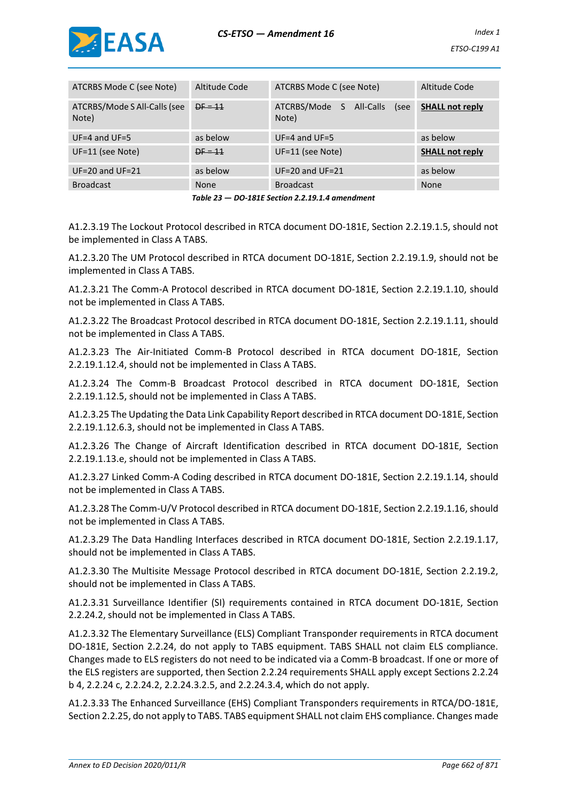

| ATCRBS Mode C (see Note)              | Altitude Code | ATCRBS Mode C (see Note)                        | Altitude Code          |
|---------------------------------------|---------------|-------------------------------------------------|------------------------|
| ATCRBS/Mode S All-Calls (see<br>Note) | $DF = 11$     | ATCRBS/Mode<br>S.<br>All-Calls<br>(see<br>Note) | <b>SHALL not reply</b> |
| $UF=4$ and $UF=5$                     | as below      | $UF=4$ and $UF=5$                               | as below               |
| UF=11 (see Note)                      | $DF = 11$     | UF=11 (see Note)                                | <b>SHALL not reply</b> |
| $UF=20$ and $UF=21$                   | as below      | $UF=20$ and $UF=21$                             | as below               |
| <b>Broadcast</b>                      | <b>None</b>   | <b>Broadcast</b>                                | None                   |

*Table 23 — DO-181E Section 2.2.19.1.4 amendment*

A1.2.3.19 The Lockout Protocol described in RTCA document DO-181E, Section 2.2.19.1.5, should not be implemented in Class A TABS.

A1.2.3.20 The UM Protocol described in RTCA document DO-181E, Section 2.2.19.1.9, should not be implemented in Class A TABS.

A1.2.3.21 The Comm-A Protocol described in RTCA document DO-181E, Section 2.2.19.1.10, should not be implemented in Class A TABS.

A1.2.3.22 The Broadcast Protocol described in RTCA document DO-181E, Section 2.2.19.1.11, should not be implemented in Class A TABS.

A1.2.3.23 The Air-Initiated Comm-B Protocol described in RTCA document DO-181E, Section 2.2.19.1.12.4, should not be implemented in Class A TABS.

A1.2.3.24 The Comm-B Broadcast Protocol described in RTCA document DO-181E, Section 2.2.19.1.12.5, should not be implemented in Class A TABS.

A1.2.3.25 The Updating the Data Link Capability Report described in RTCA document DO-181E, Section 2.2.19.1.12.6.3, should not be implemented in Class A TABS.

A1.2.3.26 The Change of Aircraft Identification described in RTCA document DO-181E, Section 2.2.19.1.13.e, should not be implemented in Class A TABS.

A1.2.3.27 Linked Comm-A Coding described in RTCA document DO-181E, Section 2.2.19.1.14, should not be implemented in Class A TABS.

A1.2.3.28 The Comm-U/V Protocol described in RTCA document DO-181E, Section 2.2.19.1.16, should not be implemented in Class A TABS.

A1.2.3.29 The Data Handling Interfaces described in RTCA document DO-181E, Section 2.2.19.1.17, should not be implemented in Class A TABS.

A1.2.3.30 The Multisite Message Protocol described in RTCA document DO-181E, Section 2.2.19.2, should not be implemented in Class A TABS.

A1.2.3.31 Surveillance Identifier (SI) requirements contained in RTCA document DO-181E, Section 2.2.24.2, should not be implemented in Class A TABS.

A1.2.3.32 The Elementary Surveillance (ELS) Compliant Transponder requirements in RTCA document DO-181E, Section 2.2.24, do not apply to TABS equipment. TABS SHALL not claim ELS compliance. Changes made to ELS registers do not need to be indicated via a Comm-B broadcast. If one or more of the ELS registers are supported, then Section 2.2.24 requirements SHALL apply except Sections 2.2.24 b 4, 2.2.24 c, 2.2.24.2, 2.2.24.3.2.5, and 2.2.24.3.4, which do not apply.

A1.2.3.33 The Enhanced Surveillance (EHS) Compliant Transponders requirements in RTCA/DO-181E, Section 2.2.25, do not apply to TABS. TABS equipment SHALL not claim EHS compliance. Changes made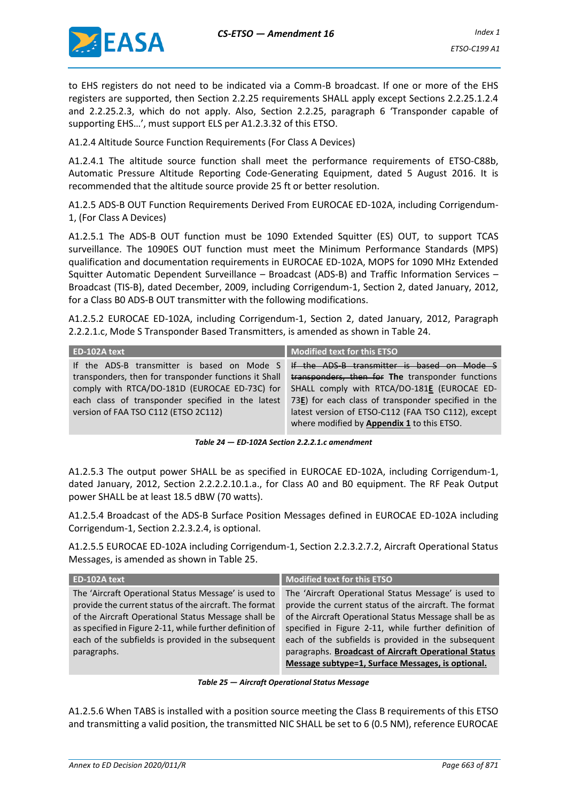

to EHS registers do not need to be indicated via a Comm-B broadcast. If one or more of the EHS registers are supported, then Section 2.2.25 requirements SHALL apply except Sections 2.2.25.1.2.4 and 2.2.25.2.3, which do not apply. Also, Section 2.2.25, paragraph 6 'Transponder capable of supporting EHS…', must support ELS per A1.2.3.32 of this ETSO.

A1.2.4 Altitude Source Function Requirements (For Class A Devices)

A1.2.4.1 The altitude source function shall meet the performance requirements of ETSO-C88b, Automatic Pressure Altitude Reporting Code-Generating Equipment, dated 5 August 2016. It is recommended that the altitude source provide 25 ft or better resolution.

A1.2.5 ADS-B OUT Function Requirements Derived From EUROCAE ED-102A, including Corrigendum-1, (For Class A Devices)

A1.2.5.1 The ADS-B OUT function must be 1090 Extended Squitter (ES) OUT, to support TCAS surveillance. The 1090ES OUT function must meet the Minimum Performance Standards (MPS) qualification and documentation requirements in EUROCAE ED-102A, MOPS for 1090 MHz Extended Squitter Automatic Dependent Surveillance – Broadcast (ADS-B) and Traffic Information Services – Broadcast (TIS-B), dated December, 2009, including Corrigendum-1, Section 2, dated January, 2012, for a Class B0 ADS-B OUT transmitter with the following modifications.

A1.2.5.2 EUROCAE ED-102A, including Corrigendum-1, Section 2, dated January, 2012, Paragraph 2.2.2.1.c, Mode S Transponder Based Transmitters, is amended as shown in Table 24.

| ED-102A text                                          | <b>Modified text for this ETSO</b>                      |
|-------------------------------------------------------|---------------------------------------------------------|
| If the ADS-B transmitter is based on Mode S           | If the ADS-B transmitter is based on Mode S             |
| transponders, then for transponder functions it Shall | transponders, then for The transponder functions        |
| comply with RTCA/DO-181D (EUROCAE ED-73C) for         | SHALL comply with RTCA/DO-181E (EUROCAE ED-             |
| each class of transponder specified in the latest     | 73 $E$ ) for each class of transponder specified in the |
| version of FAA TSO C112 (ETSO 2C112)                  | latest version of ETSO-C112 (FAA TSO C112), except      |
|                                                       | where modified by Appendix 1 to this ETSO.              |

*Table 24 — ED-102A Section 2.2.2.1.c amendment*

A1.2.5.3 The output power SHALL be as specified in EUROCAE ED-102A, including Corrigendum-1, dated January, 2012, Section 2.2.2.2.10.1.a., for Class A0 and B0 equipment. The RF Peak Output power SHALL be at least 18.5 dBW (70 watts).

A1.2.5.4 Broadcast of the ADS-B Surface Position Messages defined in EUROCAE ED-102A including Corrigendum-1, Section 2.2.3.2.4, is optional.

A1.2.5.5 EUROCAE ED-102A including Corrigendum-1, Section 2.2.3.2.7.2, Aircraft Operational Status Messages, is amended as shown in Table 25.

| ED-102A text                                                                                                                                                                                                                                                                                            | <b>Modified text for this ETSO</b>                                                                                                                                                                                                                                                                                                                                                                    |
|---------------------------------------------------------------------------------------------------------------------------------------------------------------------------------------------------------------------------------------------------------------------------------------------------------|-------------------------------------------------------------------------------------------------------------------------------------------------------------------------------------------------------------------------------------------------------------------------------------------------------------------------------------------------------------------------------------------------------|
| The 'Aircraft Operational Status Message' is used to<br>provide the current status of the aircraft. The format<br>of the Aircraft Operational Status Message shall be<br>as specified in Figure 2-11, while further definition of<br>each of the subfields is provided in the subsequent<br>paragraphs. | The 'Aircraft Operational Status Message' is used to<br>provide the current status of the aircraft. The format<br>of the Aircraft Operational Status Message shall be as<br>specified in Figure 2-11, while further definition of<br>each of the subfields is provided in the subsequent<br>paragraphs. Broadcast of Aircraft Operational Status<br>Message subtype=1, Surface Messages, is optional. |

*Table 25 — Aircraft Operational Status Message*

A1.2.5.6 When TABS is installed with a position source meeting the Class B requirements of this ETSO and transmitting a valid position, the transmitted NIC SHALL be set to 6 (0.5 NM), reference EUROCAE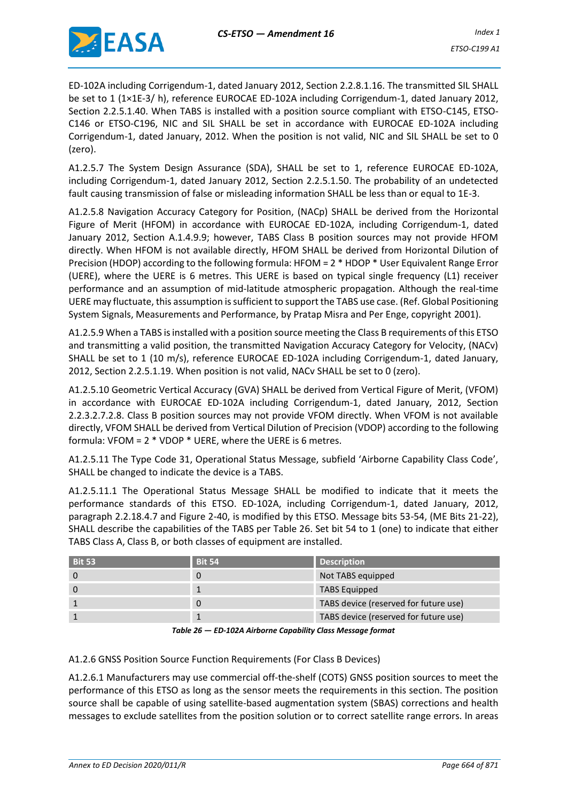

ED-102A including Corrigendum-1, dated January 2012, Section 2.2.8.1.16. The transmitted SIL SHALL be set to 1 (1×1E-3/ h), reference EUROCAE ED-102A including Corrigendum-1, dated January 2012, Section 2.2.5.1.40. When TABS is installed with a position source compliant with ETSO-C145, ETSO-C146 or ETSO-C196, NIC and SIL SHALL be set in accordance with EUROCAE ED-102A including Corrigendum-1, dated January, 2012. When the position is not valid, NIC and SIL SHALL be set to 0 (zero).

A1.2.5.7 The System Design Assurance (SDA), SHALL be set to 1, reference EUROCAE ED-102A, including Corrigendum-1, dated January 2012, Section 2.2.5.1.50. The probability of an undetected fault causing transmission of false or misleading information SHALL be less than or equal to 1E-3.

A1.2.5.8 Navigation Accuracy Category for Position, (NACp) SHALL be derived from the Horizontal Figure of Merit (HFOM) in accordance with EUROCAE ED-102A, including Corrigendum-1, dated January 2012, Section A.1.4.9.9; however, TABS Class B position sources may not provide HFOM directly. When HFOM is not available directly, HFOM SHALL be derived from Horizontal Dilution of Precision (HDOP) according to the following formula: HFOM = 2 \* HDOP \* User Equivalent Range Error (UERE), where the UERE is 6 metres. This UERE is based on typical single frequency (L1) receiver performance and an assumption of mid-latitude atmospheric propagation. Although the real-time UERE may fluctuate, this assumption is sufficient to support the TABS use case. (Ref. Global Positioning System Signals, Measurements and Performance, by Pratap Misra and Per Enge, copyright 2001).

A1.2.5.9 When a TABS is installed with a position source meeting the Class B requirements of this ETSO and transmitting a valid position, the transmitted Navigation Accuracy Category for Velocity, (NACv) SHALL be set to 1 (10 m/s), reference EUROCAE ED-102A including Corrigendum-1, dated January, 2012, Section 2.2.5.1.19. When position is not valid, NACv SHALL be set to 0 (zero).

A1.2.5.10 Geometric Vertical Accuracy (GVA) SHALL be derived from Vertical Figure of Merit, (VFOM) in accordance with EUROCAE ED-102A including Corrigendum-1, dated January, 2012, Section 2.2.3.2.7.2.8. Class B position sources may not provide VFOM directly. When VFOM is not available directly, VFOM SHALL be derived from Vertical Dilution of Precision (VDOP) according to the following formula: VFOM = 2 \* VDOP \* UERE, where the UERE is 6 metres.

A1.2.5.11 The Type Code 31, Operational Status Message, subfield 'Airborne Capability Class Code', SHALL be changed to indicate the device is a TABS.

A1.2.5.11.1 The Operational Status Message SHALL be modified to indicate that it meets the performance standards of this ETSO. ED-102A, including Corrigendum-1, dated January, 2012, paragraph 2.2.18.4.7 and Figure 2-40, is modified by this ETSO. Message bits 53-54, (ME Bits 21-22), SHALL describe the capabilities of the TABS per Table 26. Set bit 54 to 1 (one) to indicate that either TABS Class A, Class B, or both classes of equipment are installed.

| <b>Bit 53</b> | <b>Bit 54</b> | <b>Description</b>                    |
|---------------|---------------|---------------------------------------|
|               | O             | Not TABS equipped                     |
|               |               | <b>TABS Equipped</b>                  |
|               | O             | TABS device (reserved for future use) |
|               |               | TABS device (reserved for future use) |

*Table 26 — ED-102A Airborne Capability Class Message format*

### A1.2.6 GNSS Position Source Function Requirements (For Class B Devices)

A1.2.6.1 Manufacturers may use commercial off-the-shelf (COTS) GNSS position sources to meet the performance of this ETSO as long as the sensor meets the requirements in this section. The position source shall be capable of using satellite-based augmentation system (SBAS) corrections and health messages to exclude satellites from the position solution or to correct satellite range errors. In areas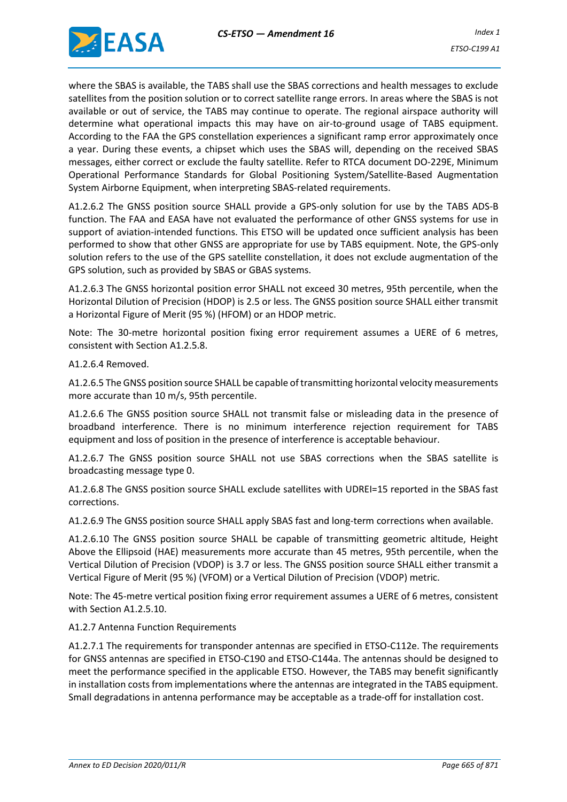

where the SBAS is available, the TABS shall use the SBAS corrections and health messages to exclude satellites from the position solution or to correct satellite range errors. In areas where the SBAS is not available or out of service, the TABS may continue to operate. The regional airspace authority will determine what operational impacts this may have on air-to-ground usage of TABS equipment. According to the FAA the GPS constellation experiences a significant ramp error approximately once a year. During these events, a chipset which uses the SBAS will, depending on the received SBAS messages, either correct or exclude the faulty satellite. Refer to RTCA document DO-229E, Minimum Operational Performance Standards for Global Positioning System/Satellite-Based Augmentation System Airborne Equipment, when interpreting SBAS-related requirements.

A1.2.6.2 The GNSS position source SHALL provide a GPS-only solution for use by the TABS ADS-B function. The FAA and EASA have not evaluated the performance of other GNSS systems for use in support of aviation-intended functions. This ETSO will be updated once sufficient analysis has been performed to show that other GNSS are appropriate for use by TABS equipment. Note, the GPS-only solution refers to the use of the GPS satellite constellation, it does not exclude augmentation of the GPS solution, such as provided by SBAS or GBAS systems.

A1.2.6.3 The GNSS horizontal position error SHALL not exceed 30 metres, 95th percentile, when the Horizontal Dilution of Precision (HDOP) is 2.5 or less. The GNSS position source SHALL either transmit a Horizontal Figure of Merit (95 %) (HFOM) or an HDOP metric.

Note: The 30-metre horizontal position fixing error requirement assumes a UERE of 6 metres, consistent with Section A1.2.5.8.

A1.2.6.4 Removed.

A1.2.6.5 The GNSS position source SHALL be capable of transmitting horizontal velocity measurements more accurate than 10 m/s, 95th percentile.

A1.2.6.6 The GNSS position source SHALL not transmit false or misleading data in the presence of broadband interference. There is no minimum interference rejection requirement for TABS equipment and loss of position in the presence of interference is acceptable behaviour.

A1.2.6.7 The GNSS position source SHALL not use SBAS corrections when the SBAS satellite is broadcasting message type 0.

A1.2.6.8 The GNSS position source SHALL exclude satellites with UDREI=15 reported in the SBAS fast corrections.

A1.2.6.9 The GNSS position source SHALL apply SBAS fast and long-term corrections when available.

A1.2.6.10 The GNSS position source SHALL be capable of transmitting geometric altitude, Height Above the Ellipsoid (HAE) measurements more accurate than 45 metres, 95th percentile, when the Vertical Dilution of Precision (VDOP) is 3.7 or less. The GNSS position source SHALL either transmit a Vertical Figure of Merit (95 %) (VFOM) or a Vertical Dilution of Precision (VDOP) metric.

Note: The 45-metre vertical position fixing error requirement assumes a UERE of 6 metres, consistent with Section A1.2.5.10.

#### A1.2.7 Antenna Function Requirements

A1.2.7.1 The requirements for transponder antennas are specified in ETSO-C112e. The requirements for GNSS antennas are specified in ETSO-C190 and ETSO-C144a. The antennas should be designed to meet the performance specified in the applicable ETSO. However, the TABS may benefit significantly in installation costs from implementations where the antennas are integrated in the TABS equipment. Small degradations in antenna performance may be acceptable as a trade-off for installation cost.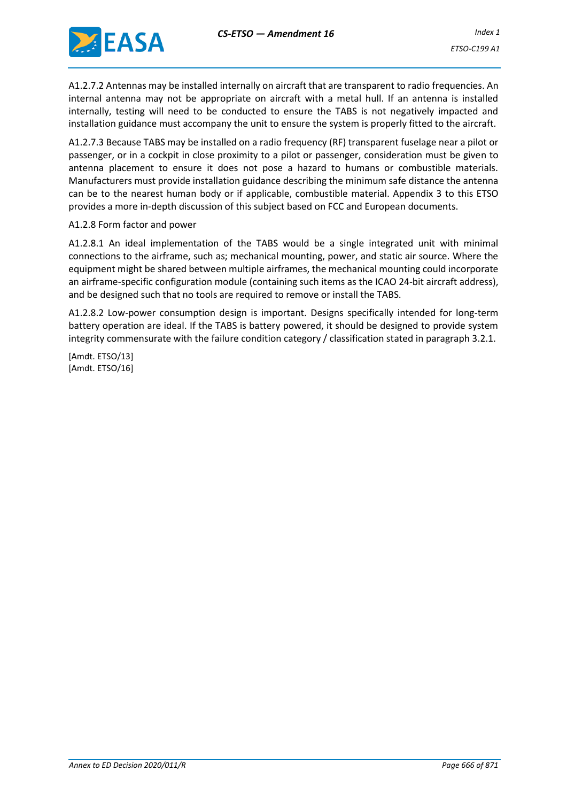

A1.2.7.2 Antennas may be installed internally on aircraft that are transparent to radio frequencies. An internal antenna may not be appropriate on aircraft with a metal hull. If an antenna is installed internally, testing will need to be conducted to ensure the TABS is not negatively impacted and installation guidance must accompany the unit to ensure the system is properly fitted to the aircraft.

A1.2.7.3 Because TABS may be installed on a radio frequency (RF) transparent fuselage near a pilot or passenger, or in a cockpit in close proximity to a pilot or passenger, consideration must be given to antenna placement to ensure it does not pose a hazard to humans or combustible materials. Manufacturers must provide installation guidance describing the minimum safe distance the antenna can be to the nearest human body or if applicable, combustible material. Appendix 3 to this ETSO provides a more in-depth discussion of this subject based on FCC and European documents.

#### A1.2.8 Form factor and power

A1.2.8.1 An ideal implementation of the TABS would be a single integrated unit with minimal connections to the airframe, such as; mechanical mounting, power, and static air source. Where the equipment might be shared between multiple airframes, the mechanical mounting could incorporate an airframe-specific configuration module (containing such items as the ICAO 24-bit aircraft address), and be designed such that no tools are required to remove or install the TABS.

A1.2.8.2 Low-power consumption design is important. Designs specifically intended for long-term battery operation are ideal. If the TABS is battery powered, it should be designed to provide system integrity commensurate with the failure condition category / classification stated in paragraph 3.2.1.

[Amdt. ETSO/13] [Amdt. ETSO/16]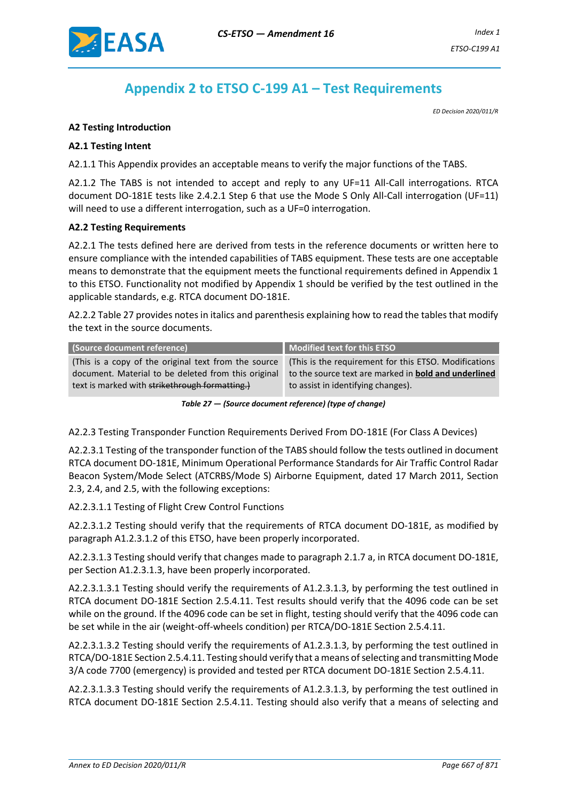

# **Appendix 2 to ETSO C-199 A1 – Test Requirements**

*ED Decision 2020/011/R*

#### <span id="page-18-0"></span>**A2 Testing Introduction**

#### **A2.1 Testing Intent**

A2.1.1 This Appendix provides an acceptable means to verify the major functions of the TABS.

A2.1.2 The TABS is not intended to accept and reply to any UF=11 All-Call interrogations. RTCA document DO-181E tests like 2.4.2.1 Step 6 that use the Mode S Only All-Call interrogation (UF=11) will need to use a different interrogation, such as a UF=0 interrogation.

#### **A2.2 Testing Requirements**

A2.2.1 The tests defined here are derived from tests in the reference documents or written here to ensure compliance with the intended capabilities of TABS equipment. These tests are one acceptable means to demonstrate that the equipment meets the functional requirements defined in Appendix 1 to this ETSO. Functionality not modified by Appendix 1 should be verified by the test outlined in the applicable standards, e.g. RTCA document DO-181E.

A2.2.2 Table 27 provides notes in italics and parenthesis explaining how to read the tables that modify the text in the source documents.

| (Source document reference)                          | Modified text for this ETSO                                 |
|------------------------------------------------------|-------------------------------------------------------------|
| (This is a copy of the original text from the source | (This is the requirement for this ETSO. Modifications       |
| document. Material to be deleted from this original  | to the source text are marked in <b>bold and underlined</b> |
| text is marked with strikethrough formatting.)       | to assist in identifying changes).                          |

*Table 27 — (Source document reference) (type of change)*

A2.2.3 Testing Transponder Function Requirements Derived From DO-181E (For Class A Devices)

A2.2.3.1 Testing of the transponder function of the TABS should follow the tests outlined in document RTCA document DO-181E, Minimum Operational Performance Standards for Air Traffic Control Radar Beacon System/Mode Select (ATCRBS/Mode S) Airborne Equipment, dated 17 March 2011, Section 2.3, 2.4, and 2.5, with the following exceptions:

A2.2.3.1.1 Testing of Flight Crew Control Functions

A2.2.3.1.2 Testing should verify that the requirements of RTCA document DO-181E, as modified by paragraph A1.2.3.1.2 of this ETSO, have been properly incorporated.

A2.2.3.1.3 Testing should verify that changes made to paragraph 2.1.7 a, in RTCA document DO-181E, per Section A1.2.3.1.3, have been properly incorporated.

A2.2.3.1.3.1 Testing should verify the requirements of A1.2.3.1.3, by performing the test outlined in RTCA document DO-181E Section 2.5.4.11. Test results should verify that the 4096 code can be set while on the ground. If the 4096 code can be set in flight, testing should verify that the 4096 code can be set while in the air (weight-off-wheels condition) per RTCA/DO-181E Section 2.5.4.11.

A2.2.3.1.3.2 Testing should verify the requirements of A1.2.3.1.3, by performing the test outlined in RTCA/DO-181E Section 2.5.4.11. Testing should verify that a means of selecting and transmitting Mode 3/A code 7700 (emergency) is provided and tested per RTCA document DO-181E Section 2.5.4.11.

A2.2.3.1.3.3 Testing should verify the requirements of A1.2.3.1.3, by performing the test outlined in RTCA document DO-181E Section 2.5.4.11. Testing should also verify that a means of selecting and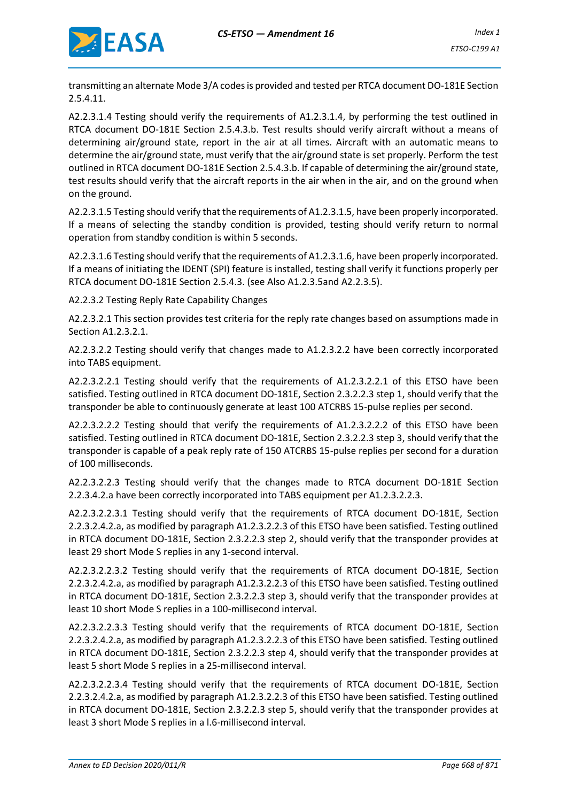

transmitting an alternate Mode 3/A codes is provided and tested per RTCA document DO-181E Section 2.5.4.11.

A2.2.3.1.4 Testing should verify the requirements of A1.2.3.1.4, by performing the test outlined in RTCA document DO-181E Section 2.5.4.3.b. Test results should verify aircraft without a means of determining air/ground state, report in the air at all times. Aircraft with an automatic means to determine the air/ground state, must verify that the air/ground state is set properly. Perform the test outlined in RTCA document DO-181E Section 2.5.4.3.b. If capable of determining the air/ground state, test results should verify that the aircraft reports in the air when in the air, and on the ground when on the ground.

A2.2.3.1.5 Testing should verify that the requirements of A1.2.3.1.5, have been properly incorporated. If a means of selecting the standby condition is provided, testing should verify return to normal operation from standby condition is within 5 seconds.

A2.2.3.1.6 Testing should verify that the requirements of A1.2.3.1.6, have been properly incorporated. If a means of initiating the IDENT (SPI) feature is installed, testing shall verify it functions properly per RTCA document DO-181E Section 2.5.4.3. (see Also A1.2.3.5and A2.2.3.5).

A2.2.3.2 Testing Reply Rate Capability Changes

A2.2.3.2.1 This section provides test criteria for the reply rate changes based on assumptions made in Section A1.2.3.2.1.

A2.2.3.2.2 Testing should verify that changes made to A1.2.3.2.2 have been correctly incorporated into TABS equipment.

A2.2.3.2.2.1 Testing should verify that the requirements of A1.2.3.2.2.1 of this ETSO have been satisfied. Testing outlined in RTCA document DO-181E, Section 2.3.2.2.3 step 1, should verify that the transponder be able to continuously generate at least 100 ATCRBS 15-pulse replies per second.

A2.2.3.2.2.2 Testing should that verify the requirements of A1.2.3.2.2.2 of this ETSO have been satisfied. Testing outlined in RTCA document DO-181E, Section 2.3.2.2.3 step 3, should verify that the transponder is capable of a peak reply rate of 150 ATCRBS 15-pulse replies per second for a duration of 100 milliseconds.

A2.2.3.2.2.3 Testing should verify that the changes made to RTCA document DO-181E Section 2.2.3.4.2.a have been correctly incorporated into TABS equipment per A1.2.3.2.2.3.

A2.2.3.2.2.3.1 Testing should verify that the requirements of RTCA document DO-181E, Section 2.2.3.2.4.2.a, as modified by paragraph A1.2.3.2.2.3 of this ETSO have been satisfied. Testing outlined in RTCA document DO-181E, Section 2.3.2.2.3 step 2, should verify that the transponder provides at least 29 short Mode S replies in any 1-second interval.

A2.2.3.2.2.3.2 Testing should verify that the requirements of RTCA document DO-181E, Section 2.2.3.2.4.2.a, as modified by paragraph A1.2.3.2.2.3 of this ETSO have been satisfied. Testing outlined in RTCA document DO-181E, Section 2.3.2.2.3 step 3, should verify that the transponder provides at least 10 short Mode S replies in a 100-millisecond interval.

A2.2.3.2.2.3.3 Testing should verify that the requirements of RTCA document DO-181E, Section 2.2.3.2.4.2.a, as modified by paragraph A1.2.3.2.2.3 of this ETSO have been satisfied. Testing outlined in RTCA document DO-181E, Section 2.3.2.2.3 step 4, should verify that the transponder provides at least 5 short Mode S replies in a 25-millisecond interval.

A2.2.3.2.2.3.4 Testing should verify that the requirements of RTCA document DO-181E, Section 2.2.3.2.4.2.a, as modified by paragraph A1.2.3.2.2.3 of this ETSO have been satisfied. Testing outlined in RTCA document DO-181E, Section 2.3.2.2.3 step 5, should verify that the transponder provides at least 3 short Mode S replies in a l.6-millisecond interval.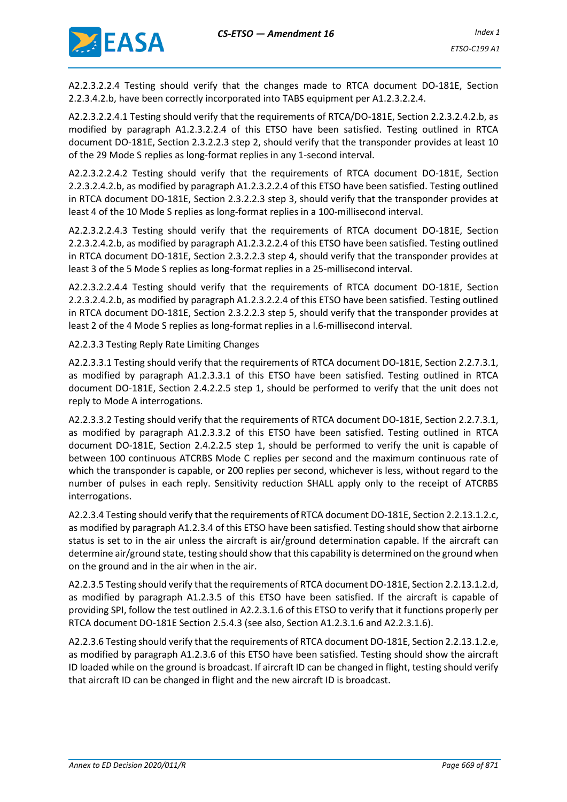

A2.2.3.2.2.4 Testing should verify that the changes made to RTCA document DO-181E, Section 2.2.3.4.2.b, have been correctly incorporated into TABS equipment per A1.2.3.2.2.4.

A2.2.3.2.2.4.1 Testing should verify that the requirements of RTCA/DO-181E, Section 2.2.3.2.4.2.b, as modified by paragraph A1.2.3.2.2.4 of this ETSO have been satisfied. Testing outlined in RTCA document DO-181E, Section 2.3.2.2.3 step 2, should verify that the transponder provides at least 10 of the 29 Mode S replies as long-format replies in any 1-second interval.

A2.2.3.2.2.4.2 Testing should verify that the requirements of RTCA document DO-181E, Section 2.2.3.2.4.2.b, as modified by paragraph A1.2.3.2.2.4 of this ETSO have been satisfied. Testing outlined in RTCA document DO-181E, Section 2.3.2.2.3 step 3, should verify that the transponder provides at least 4 of the 10 Mode S replies as long-format replies in a 100-millisecond interval.

A2.2.3.2.2.4.3 Testing should verify that the requirements of RTCA document DO-181E, Section 2.2.3.2.4.2.b, as modified by paragraph A1.2.3.2.2.4 of this ETSO have been satisfied. Testing outlined in RTCA document DO-181E, Section 2.3.2.2.3 step 4, should verify that the transponder provides at least 3 of the 5 Mode S replies as long-format replies in a 25-millisecond interval.

A2.2.3.2.2.4.4 Testing should verify that the requirements of RTCA document DO-181E, Section 2.2.3.2.4.2.b, as modified by paragraph A1.2.3.2.2.4 of this ETSO have been satisfied. Testing outlined in RTCA document DO-181E, Section 2.3.2.2.3 step 5, should verify that the transponder provides at least 2 of the 4 Mode S replies as long-format replies in a l.6-millisecond interval.

A2.2.3.3 Testing Reply Rate Limiting Changes

A2.2.3.3.1 Testing should verify that the requirements of RTCA document DO-181E, Section 2.2.7.3.1, as modified by paragraph A1.2.3.3.1 of this ETSO have been satisfied. Testing outlined in RTCA document DO-181E, Section 2.4.2.2.5 step 1, should be performed to verify that the unit does not reply to Mode A interrogations.

A2.2.3.3.2 Testing should verify that the requirements of RTCA document DO-181E, Section 2.2.7.3.1, as modified by paragraph A1.2.3.3.2 of this ETSO have been satisfied. Testing outlined in RTCA document DO-181E, Section 2.4.2.2.5 step 1, should be performed to verify the unit is capable of between 100 continuous ATCRBS Mode C replies per second and the maximum continuous rate of which the transponder is capable, or 200 replies per second, whichever is less, without regard to the number of pulses in each reply. Sensitivity reduction SHALL apply only to the receipt of ATCRBS interrogations.

A2.2.3.4 Testing should verify that the requirements of RTCA document DO-181E, Section 2.2.13.1.2.c, as modified by paragraph A1.2.3.4 of this ETSO have been satisfied. Testing should show that airborne status is set to in the air unless the aircraft is air/ground determination capable. If the aircraft can determine air/ground state, testing should show that this capability is determined on the ground when on the ground and in the air when in the air.

A2.2.3.5 Testing should verify that the requirements of RTCA document DO-181E, Section 2.2.13.1.2.d, as modified by paragraph A1.2.3.5 of this ETSO have been satisfied. If the aircraft is capable of providing SPI, follow the test outlined in A2.2.3.1.6 of this ETSO to verify that it functions properly per RTCA document DO-181E Section 2.5.4.3 (see also, Section A1.2.3.1.6 and A2.2.3.1.6).

A2.2.3.6 Testing should verify that the requirements of RTCA document DO-181E, Section 2.2.13.1.2.e, as modified by paragraph A1.2.3.6 of this ETSO have been satisfied. Testing should show the aircraft ID loaded while on the ground is broadcast. If aircraft ID can be changed in flight, testing should verify that aircraft ID can be changed in flight and the new aircraft ID is broadcast.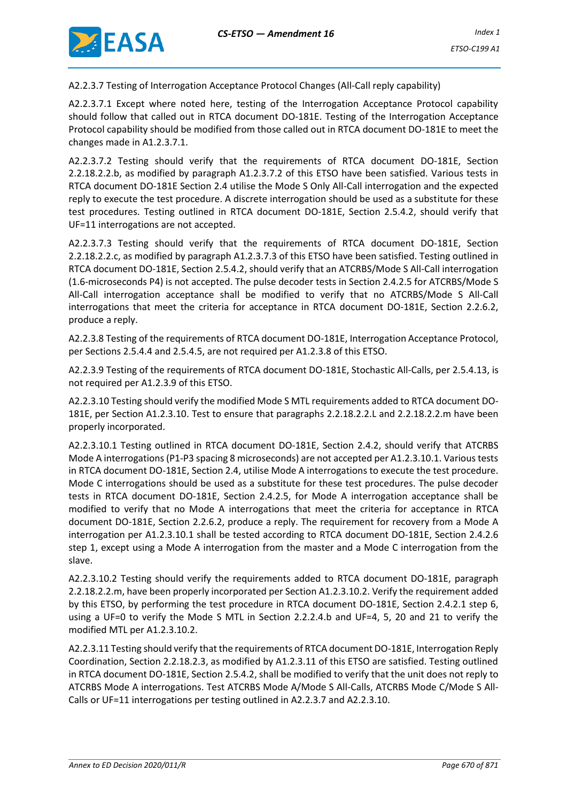

A2.2.3.7 Testing of Interrogation Acceptance Protocol Changes (All-Call reply capability)

A2.2.3.7.1 Except where noted here, testing of the Interrogation Acceptance Protocol capability should follow that called out in RTCA document DO-181E. Testing of the Interrogation Acceptance Protocol capability should be modified from those called out in RTCA document DO-181E to meet the changes made in A1.2.3.7.1.

A2.2.3.7.2 Testing should verify that the requirements of RTCA document DO-181E, Section 2.2.18.2.2.b, as modified by paragraph A1.2.3.7.2 of this ETSO have been satisfied. Various tests in RTCA document DO-181E Section 2.4 utilise the Mode S Only All-Call interrogation and the expected reply to execute the test procedure. A discrete interrogation should be used as a substitute for these test procedures. Testing outlined in RTCA document DO-181E, Section 2.5.4.2, should verify that UF=11 interrogations are not accepted.

A2.2.3.7.3 Testing should verify that the requirements of RTCA document DO-181E, Section 2.2.18.2.2.c, as modified by paragraph A1.2.3.7.3 of this ETSO have been satisfied. Testing outlined in RTCA document DO-181E, Section 2.5.4.2, should verify that an ATCRBS/Mode S All-Call interrogation (1.6-microseconds P4) is not accepted. The pulse decoder tests in Section 2.4.2.5 for ATCRBS/Mode S All-Call interrogation acceptance shall be modified to verify that no ATCRBS/Mode S All-Call interrogations that meet the criteria for acceptance in RTCA document DO-181E, Section 2.2.6.2, produce a reply.

A2.2.3.8 Testing of the requirements of RTCA document DO-181E, Interrogation Acceptance Protocol, per Sections 2.5.4.4 and 2.5.4.5, are not required per A1.2.3.8 of this ETSO.

A2.2.3.9 Testing of the requirements of RTCA document DO-181E, Stochastic All-Calls, per 2.5.4.13, is not required per A1.2.3.9 of this ETSO.

A2.2.3.10 Testing should verify the modified Mode S MTL requirements added to RTCA document DO-181E, per Section A1.2.3.10. Test to ensure that paragraphs 2.2.18.2.2.L and 2.2.18.2.2.m have been properly incorporated.

A2.2.3.10.1 Testing outlined in RTCA document DO-181E, Section 2.4.2, should verify that ATCRBS Mode A interrogations (P1-P3 spacing 8 microseconds) are not accepted per A1.2.3.10.1. Various tests in RTCA document DO-181E, Section 2.4, utilise Mode A interrogations to execute the test procedure. Mode C interrogations should be used as a substitute for these test procedures. The pulse decoder tests in RTCA document DO-181E, Section 2.4.2.5, for Mode A interrogation acceptance shall be modified to verify that no Mode A interrogations that meet the criteria for acceptance in RTCA document DO-181E, Section 2.2.6.2, produce a reply. The requirement for recovery from a Mode A interrogation per A1.2.3.10.1 shall be tested according to RTCA document DO-181E, Section 2.4.2.6 step 1, except using a Mode A interrogation from the master and a Mode C interrogation from the slave.

A2.2.3.10.2 Testing should verify the requirements added to RTCA document DO-181E, paragraph 2.2.18.2.2.m, have been properly incorporated per Section A1.2.3.10.2. Verify the requirement added by this ETSO, by performing the test procedure in RTCA document DO-181E, Section 2.4.2.1 step 6, using a UF=0 to verify the Mode S MTL in Section 2.2.2.4.b and UF=4, 5, 20 and 21 to verify the modified MTL per A1.2.3.10.2.

A2.2.3.11 Testing should verify that the requirements of RTCA document DO-181E, Interrogation Reply Coordination, Section 2.2.18.2.3, as modified by A1.2.3.11 of this ETSO are satisfied. Testing outlined in RTCA document DO-181E, Section 2.5.4.2, shall be modified to verify that the unit does not reply to ATCRBS Mode A interrogations. Test ATCRBS Mode A/Mode S All-Calls, ATCRBS Mode C/Mode S All-Calls or UF=11 interrogations per testing outlined in A2.2.3.7 and A2.2.3.10.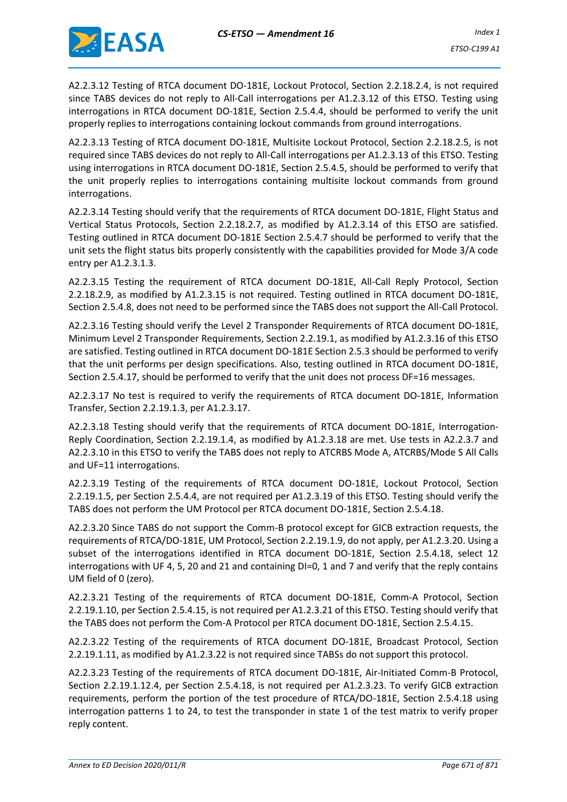

A2.2.3.12 Testing of RTCA document DO-181E, Lockout Protocol, Section 2.2.18.2.4, is not required since TABS devices do not reply to All-Call interrogations per A1.2.3.12 of this ETSO. Testing using interrogations in RTCA document DO-181E, Section 2.5.4.4, should be performed to verify the unit properly replies to interrogations containing lockout commands from ground interrogations.

A2.2.3.13 Testing of RTCA document DO-181E, Multisite Lockout Protocol, Section 2.2.18.2.5, is not required since TABS devices do not reply to All-Call interrogations per A1.2.3.13 of this ETSO. Testing using interrogations in RTCA document DO-181E, Section 2.5.4.5, should be performed to verify that the unit properly replies to interrogations containing multisite lockout commands from ground interrogations.

A2.2.3.14 Testing should verify that the requirements of RTCA document DO-181E, Flight Status and Vertical Status Protocols, Section 2.2.18.2.7, as modified by A1.2.3.14 of this ETSO are satisfied. Testing outlined in RTCA document DO-181E Section 2.5.4.7 should be performed to verify that the unit sets the flight status bits properly consistently with the capabilities provided for Mode 3/A code entry per A1.2.3.1.3.

A2.2.3.15 Testing the requirement of RTCA document DO-181E, All-Call Reply Protocol, Section 2.2.18.2.9, as modified by A1.2.3.15 is not required. Testing outlined in RTCA document DO-181E, Section 2.5.4.8, does not need to be performed since the TABS does not support the All-Call Protocol.

A2.2.3.16 Testing should verify the Level 2 Transponder Requirements of RTCA document DO-181E, Minimum Level 2 Transponder Requirements, Section 2.2.19.1, as modified by A1.2.3.16 of this ETSO are satisfied. Testing outlined in RTCA document DO-181E Section 2.5.3 should be performed to verify that the unit performs per design specifications. Also, testing outlined in RTCA document DO-181E, Section 2.5.4.17, should be performed to verify that the unit does not process DF=16 messages.

A2.2.3.17 No test is required to verify the requirements of RTCA document DO-181E, Information Transfer, Section 2.2.19.1.3, per A1.2.3.17.

A2.2.3.18 Testing should verify that the requirements of RTCA document DO-181E, Interrogation-Reply Coordination, Section 2.2.19.1.4, as modified by A1.2.3.18 are met. Use tests in A2.2.3.7 and A2.2.3.10 in this ETSO to verify the TABS does not reply to ATCRBS Mode A, ATCRBS/Mode S All Calls and UF=11 interrogations.

A2.2.3.19 Testing of the requirements of RTCA document DO-181E, Lockout Protocol, Section 2.2.19.1.5, per Section 2.5.4.4, are not required per A1.2.3.19 of this ETSO. Testing should verify the TABS does not perform the UM Protocol per RTCA document DO-181E, Section 2.5.4.18.

A2.2.3.20 Since TABS do not support the Comm-B protocol except for GICB extraction requests, the requirements of RTCA/DO-181E, UM Protocol, Section 2.2.19.1.9, do not apply, per A1.2.3.20. Using a subset of the interrogations identified in RTCA document DO-181E, Section 2.5.4.18, select 12 interrogations with UF 4, 5, 20 and 21 and containing DI=0, 1 and 7 and verify that the reply contains UM field of 0 (zero).

A2.2.3.21 Testing of the requirements of RTCA document DO-181E, Comm-A Protocol, Section 2.2.19.1.10, per Section 2.5.4.15, is not required per A1.2.3.21 of this ETSO. Testing should verify that the TABS does not perform the Com-A Protocol per RTCA document DO-181E, Section 2.5.4.15.

A2.2.3.22 Testing of the requirements of RTCA document DO-181E, Broadcast Protocol, Section 2.2.19.1.11, as modified by A1.2.3.22 is not required since TABSs do not support this protocol.

A2.2.3.23 Testing of the requirements of RTCA document DO-181E, Air-Initiated Comm-B Protocol, Section 2.2.19.1.12.4, per Section 2.5.4.18, is not required per A1.2.3.23. To verify GICB extraction requirements, perform the portion of the test procedure of RTCA/DO-181E, Section 2.5.4.18 using interrogation patterns 1 to 24, to test the transponder in state 1 of the test matrix to verify proper reply content.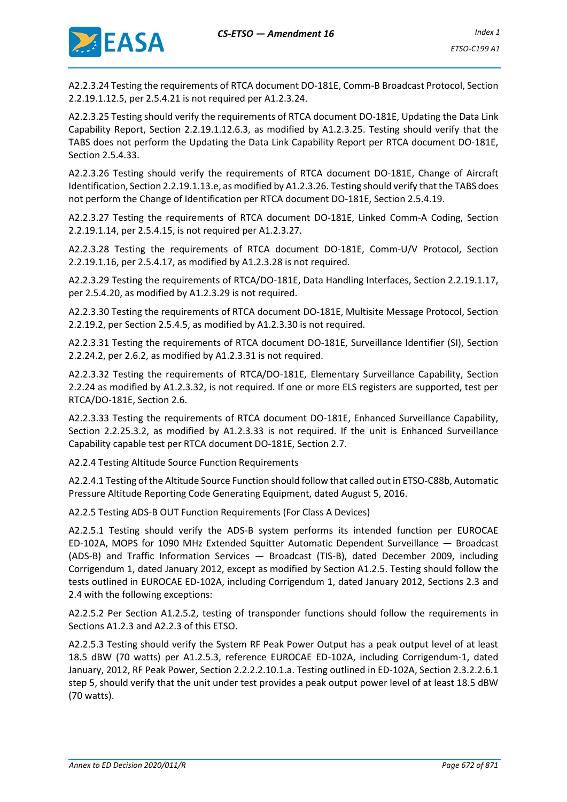

A2.2.3.24 Testing the requirements of RTCA document DO-181E, Comm-B Broadcast Protocol, Section 2.2.19.1.12.5, per 2.5.4.21 is not required per A1.2.3.24.

A2.2.3.25 Testing should verify the requirements of RTCA document DO-181E, Updating the Data Link Capability Report, Section 2.2.19.1.12.6.3, as modified by A1.2.3.25. Testing should verify that the TABS does not perform the Updating the Data Link Capability Report per RTCA document DO-181E, Section 2.5.4.33.

A2.2.3.26 Testing should verify the requirements of RTCA document DO-181E, Change of Aircraft Identification, Section 2.2.19.1.13.e, as modified by A1.2.3.26. Testing should verify that the TABS does not perform the Change of Identification per RTCA document DO-181E, Section 2.5.4.19.

A2.2.3.27 Testing the requirements of RTCA document DO-181E, Linked Comm-A Coding, Section 2.2.19.1.14, per 2.5.4.15, is not required per A1.2.3.27.

A2.2.3.28 Testing the requirements of RTCA document DO-181E, Comm-U/V Protocol, Section 2.2.19.1.16, per 2.5.4.17, as modified by A1.2.3.28 is not required.

A2.2.3.29 Testing the requirements of RTCA/DO-181E, Data Handling Interfaces, Section 2.2.19.1.17, per 2.5.4.20, as modified by A1.2.3.29 is not required.

A2.2.3.30 Testing the requirements of RTCA document DO-181E, Multisite Message Protocol, Section 2.2.19.2, per Section 2.5.4.5, as modified by A1.2.3.30 is not required.

A2.2.3.31 Testing the requirements of RTCA document DO-181E, Surveillance Identifier (SI), Section 2.2.24.2, per 2.6.2, as modified by A1.2.3.31 is not required.

A2.2.3.32 Testing the requirements of RTCA/DO-181E, Elementary Surveillance Capability, Section 2.2.24 as modified by A1.2.3.32, is not required. If one or more ELS registers are supported, test per RTCA/DO-181E, Section 2.6.

A2.2.3.33 Testing the requirements of RTCA document DO-181E, Enhanced Surveillance Capability, Section 2.2.25.3.2, as modified by A1.2.3.33 is not required. If the unit is Enhanced Surveillance Capability capable test per RTCA document DO-181E, Section 2.7.

A2.2.4 Testing Altitude Source Function Requirements

A2.2.4.1 Testing of the Altitude Source Function should follow that called out in ETSO-C88b, Automatic Pressure Altitude Reporting Code Generating Equipment, dated August 5, 2016.

A2.2.5 Testing ADS-B OUT Function Requirements (For Class A Devices)

A2.2.5.1 Testing should verify the ADS-B system performs its intended function per EUROCAE ED-102A, MOPS for 1090 MHz Extended Squitter Automatic Dependent Surveillance — Broadcast (ADS-B) and Traffic Information Services — Broadcast (TIS-B), dated December 2009, including Corrigendum 1, dated January 2012, except as modified by Section A1.2.5. Testing should follow the tests outlined in EUROCAE ED-102A, including Corrigendum 1, dated January 2012, Sections 2.3 and 2.4 with the following exceptions:

A2.2.5.2 Per Section A1.2.5.2, testing of transponder functions should follow the requirements in Sections A1.2.3 and A2.2.3 of this ETSO.

A2.2.5.3 Testing should verify the System RF Peak Power Output has a peak output level of at least 18.5 dBW (70 watts) per A1.2.5.3, reference EUROCAE ED-102A, including Corrigendum-1, dated January, 2012, RF Peak Power, Section 2.2.2.2.10.1.a. Testing outlined in ED-102A, Section 2.3.2.2.6.1 step 5, should verify that the unit under test provides a peak output power level of at least 18.5 dBW (70 watts).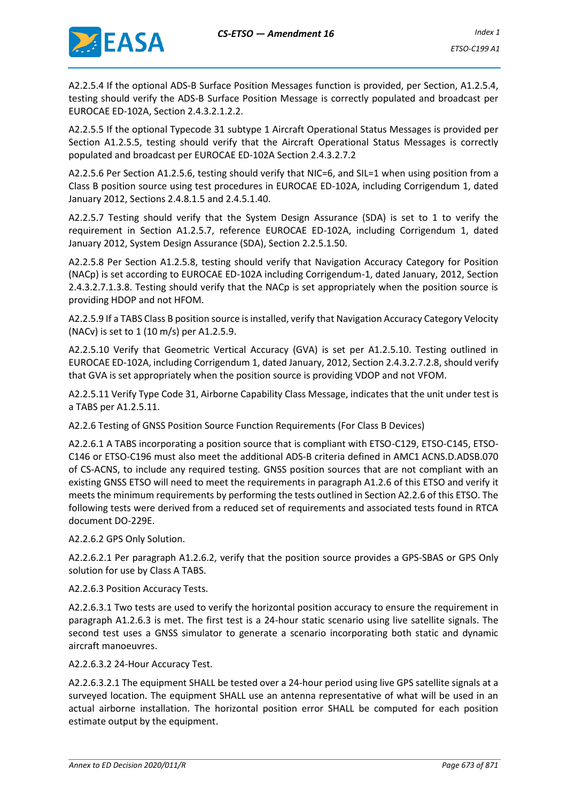

A2.2.5.4 If the optional ADS-B Surface Position Messages function is provided, per Section, A1.2.5.4, testing should verify the ADS-B Surface Position Message is correctly populated and broadcast per EUROCAE ED-102A, Section 2.4.3.2.1.2.2.

A2.2.5.5 If the optional Typecode 31 subtype 1 Aircraft Operational Status Messages is provided per Section A1.2.5.5, testing should verify that the Aircraft Operational Status Messages is correctly populated and broadcast per EUROCAE ED-102A Section 2.4.3.2.7.2

A2.2.5.6 Per Section A1.2.5.6, testing should verify that NIC=6, and SIL=1 when using position from a Class B position source using test procedures in EUROCAE ED-102A, including Corrigendum 1, dated January 2012, Sections 2.4.8.1.5 and 2.4.5.1.40.

A2.2.5.7 Testing should verify that the System Design Assurance (SDA) is set to 1 to verify the requirement in Section A1.2.5.7, reference EUROCAE ED-102A, including Corrigendum 1, dated January 2012, System Design Assurance (SDA), Section 2.2.5.1.50.

A2.2.5.8 Per Section A1.2.5.8, testing should verify that Navigation Accuracy Category for Position (NACp) is set according to EUROCAE ED-102A including Corrigendum-1, dated January, 2012, Section 2.4.3.2.7.1.3.8. Testing should verify that the NACp is set appropriately when the position source is providing HDOP and not HFOM.

A2.2.5.9 If a TABS Class B position source is installed, verify that Navigation Accuracy Category Velocity (NACv) is set to 1 (10 m/s) per A1.2.5.9.

A2.2.5.10 Verify that Geometric Vertical Accuracy (GVA) is set per A1.2.5.10. Testing outlined in EUROCAE ED-102A, including Corrigendum 1, dated January, 2012, Section 2.4.3.2.7.2.8, should verify that GVA is set appropriately when the position source is providing VDOP and not VFOM.

A2.2.5.11 Verify Type Code 31, Airborne Capability Class Message, indicates that the unit under test is a TABS per A1.2.5.11.

A2.2.6 Testing of GNSS Position Source Function Requirements (For Class B Devices)

A2.2.6.1 A TABS incorporating a position source that is compliant with ETSO-C129, ETSO-C145, ETSO-C146 or ETSO-C196 must also meet the additional ADS-B criteria defined in AMC1 ACNS.D.ADSB.070 of CS-ACNS, to include any required testing. GNSS position sources that are not compliant with an existing GNSS ETSO will need to meet the requirements in paragraph A1.2.6 of this ETSO and verify it meets the minimum requirements by performing the tests outlined in Section A2.2.6 of this ETSO. The following tests were derived from a reduced set of requirements and associated tests found in RTCA document DO-229E.

A2.2.6.2 GPS Only Solution.

A2.2.6.2.1 Per paragraph A1.2.6.2, verify that the position source provides a GPS-SBAS or GPS Only solution for use by Class A TABS.

A2.2.6.3 Position Accuracy Tests.

A2.2.6.3.1 Two tests are used to verify the horizontal position accuracy to ensure the requirement in paragraph A1.2.6.3 is met. The first test is a 24-hour static scenario using live satellite signals. The second test uses a GNSS simulator to generate a scenario incorporating both static and dynamic aircraft manoeuvres.

A2.2.6.3.2 24-Hour Accuracy Test.

A2.2.6.3.2.1 The equipment SHALL be tested over a 24-hour period using live GPS satellite signals at a surveyed location. The equipment SHALL use an antenna representative of what will be used in an actual airborne installation. The horizontal position error SHALL be computed for each position estimate output by the equipment.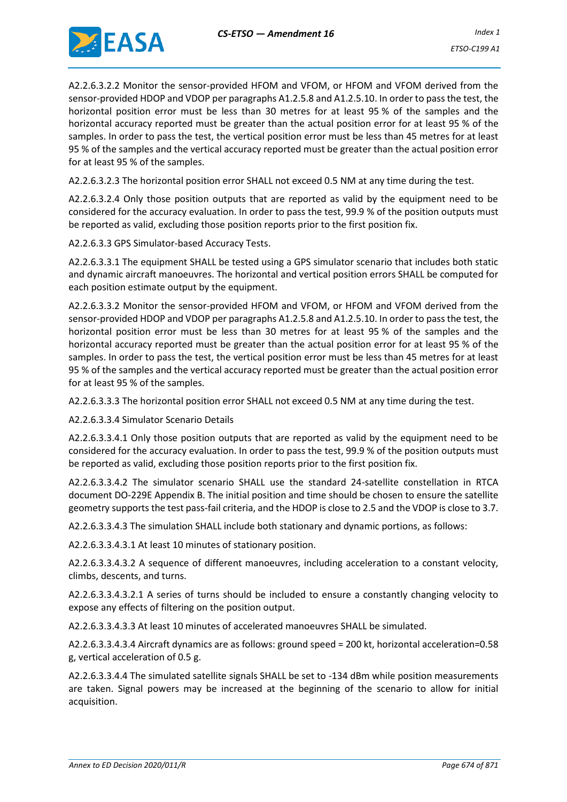

A2.2.6.3.2.2 Monitor the sensor-provided HFOM and VFOM, or HFOM and VFOM derived from the sensor-provided HDOP and VDOP per paragraphs A1.2.5.8 and A1.2.5.10. In order to pass the test, the horizontal position error must be less than 30 metres for at least 95 % of the samples and the horizontal accuracy reported must be greater than the actual position error for at least 95 % of the samples. In order to pass the test, the vertical position error must be less than 45 metres for at least 95 % of the samples and the vertical accuracy reported must be greater than the actual position error for at least 95 % of the samples.

A2.2.6.3.2.3 The horizontal position error SHALL not exceed 0.5 NM at any time during the test.

A2.2.6.3.2.4 Only those position outputs that are reported as valid by the equipment need to be considered for the accuracy evaluation. In order to pass the test, 99.9 % of the position outputs must be reported as valid, excluding those position reports prior to the first position fix.

A2.2.6.3.3 GPS Simulator-based Accuracy Tests.

A2.2.6.3.3.1 The equipment SHALL be tested using a GPS simulator scenario that includes both static and dynamic aircraft manoeuvres. The horizontal and vertical position errors SHALL be computed for each position estimate output by the equipment.

A2.2.6.3.3.2 Monitor the sensor-provided HFOM and VFOM, or HFOM and VFOM derived from the sensor-provided HDOP and VDOP per paragraphs A1.2.5.8 and A1.2.5.10. In order to pass the test, the horizontal position error must be less than 30 metres for at least 95 % of the samples and the horizontal accuracy reported must be greater than the actual position error for at least 95 % of the samples. In order to pass the test, the vertical position error must be less than 45 metres for at least 95 % of the samples and the vertical accuracy reported must be greater than the actual position error for at least 95 % of the samples.

A2.2.6.3.3.3 The horizontal position error SHALL not exceed 0.5 NM at any time during the test.

A2.2.6.3.3.4 Simulator Scenario Details

A2.2.6.3.3.4.1 Only those position outputs that are reported as valid by the equipment need to be considered for the accuracy evaluation. In order to pass the test, 99.9 % of the position outputs must be reported as valid, excluding those position reports prior to the first position fix.

A2.2.6.3.3.4.2 The simulator scenario SHALL use the standard 24-satellite constellation in RTCA document DO-229E Appendix B. The initial position and time should be chosen to ensure the satellite geometry supports the test pass-fail criteria, and the HDOP is close to 2.5 and the VDOP is close to 3.7.

A2.2.6.3.3.4.3 The simulation SHALL include both stationary and dynamic portions, as follows:

A2.2.6.3.3.4.3.1 At least 10 minutes of stationary position.

A2.2.6.3.3.4.3.2 A sequence of different manoeuvres, including acceleration to a constant velocity, climbs, descents, and turns.

A2.2.6.3.3.4.3.2.1 A series of turns should be included to ensure a constantly changing velocity to expose any effects of filtering on the position output.

A2.2.6.3.3.4.3.3 At least 10 minutes of accelerated manoeuvres SHALL be simulated.

A2.2.6.3.3.4.3.4 Aircraft dynamics are as follows: ground speed = 200 kt, horizontal acceleration=0.58 g, vertical acceleration of 0.5 g.

A2.2.6.3.3.4.4 The simulated satellite signals SHALL be set to -134 dBm while position measurements are taken. Signal powers may be increased at the beginning of the scenario to allow for initial acquisition.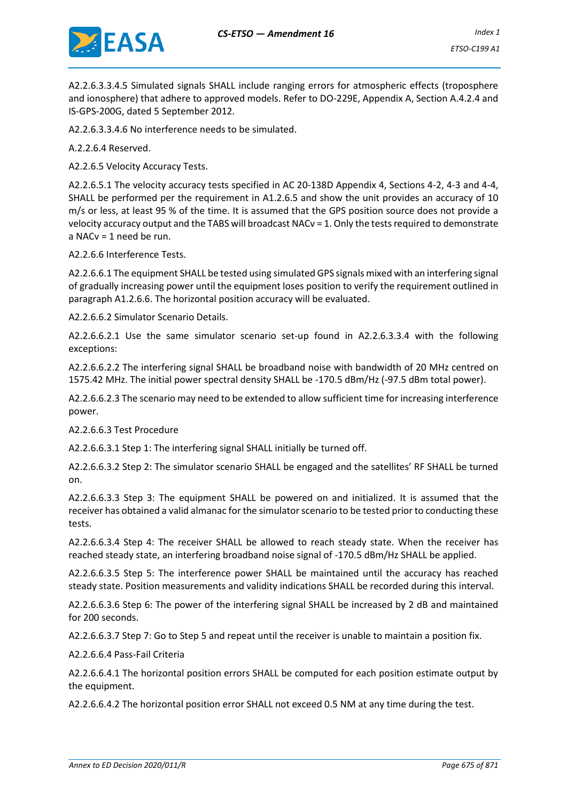

A2.2.6.3.3.4.5 Simulated signals SHALL include ranging errors for atmospheric effects (troposphere and ionosphere) that adhere to approved models. Refer to DO-229E, Appendix A, Section A.4.2.4 and IS-GPS-200G, dated 5 September 2012.

A2.2.6.3.3.4.6 No interference needs to be simulated.

A.2.2.6.4 Reserved.

A2.2.6.5 Velocity Accuracy Tests.

A2.2.6.5.1 The velocity accuracy tests specified in AC 20-138D Appendix 4, Sections 4-2, 4-3 and 4-4, SHALL be performed per the requirement in A1.2.6.5 and show the unit provides an accuracy of 10 m/s or less, at least 95 % of the time. It is assumed that the GPS position source does not provide a velocity accuracy output and the TABS will broadcast NACv = 1. Only the tests required to demonstrate a NACv = 1 need be run.

A2.2.6.6 Interference Tests.

A2.2.6.6.1 The equipment SHALL be tested using simulated GPS signals mixed with an interfering signal of gradually increasing power until the equipment loses position to verify the requirement outlined in paragraph A1.2.6.6. The horizontal position accuracy will be evaluated.

A2.2.6.6.2 Simulator Scenario Details.

A2.2.6.6.2.1 Use the same simulator scenario set-up found in A2.2.6.3.3.4 with the following exceptions:

A2.2.6.6.2.2 The interfering signal SHALL be broadband noise with bandwidth of 20 MHz centred on 1575.42 MHz. The initial power spectral density SHALL be -170.5 dBm/Hz (-97.5 dBm total power).

A2.2.6.6.2.3 The scenario may need to be extended to allow sufficient time for increasing interference power.

A2.2.6.6.3 Test Procedure

A2.2.6.6.3.1 Step 1: The interfering signal SHALL initially be turned off.

A2.2.6.6.3.2 Step 2: The simulator scenario SHALL be engaged and the satellites' RF SHALL be turned on.

A2.2.6.6.3.3 Step 3: The equipment SHALL be powered on and initialized. It is assumed that the receiver has obtained a valid almanac for the simulator scenario to be tested prior to conducting these tests.

A2.2.6.6.3.4 Step 4: The receiver SHALL be allowed to reach steady state. When the receiver has reached steady state, an interfering broadband noise signal of -170.5 dBm/Hz SHALL be applied.

A2.2.6.6.3.5 Step 5: The interference power SHALL be maintained until the accuracy has reached steady state. Position measurements and validity indications SHALL be recorded during this interval.

A2.2.6.6.3.6 Step 6: The power of the interfering signal SHALL be increased by 2 dB and maintained for 200 seconds.

A2.2.6.6.3.7 Step 7: Go to Step 5 and repeat until the receiver is unable to maintain a position fix.

A2.2.6.6.4 Pass-Fail Criteria

A2.2.6.6.4.1 The horizontal position errors SHALL be computed for each position estimate output by the equipment.

A2.2.6.6.4.2 The horizontal position error SHALL not exceed 0.5 NM at any time during the test.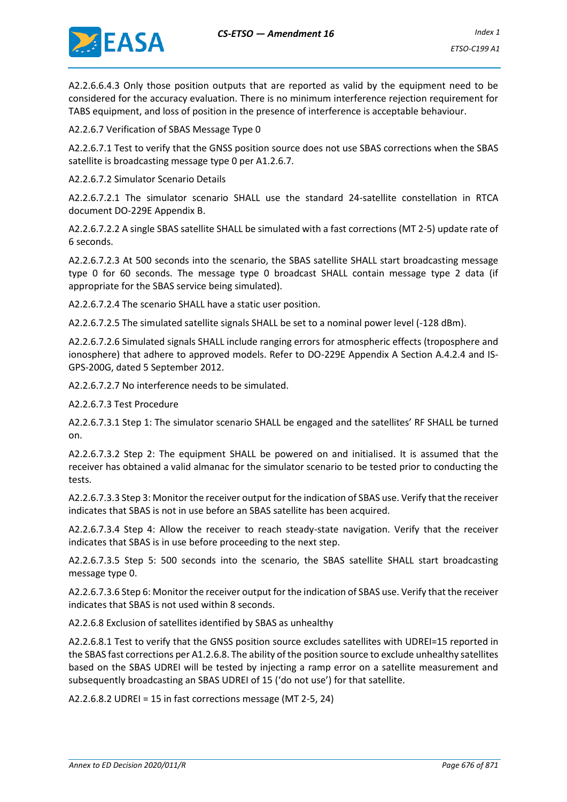

A2.2.6.6.4.3 Only those position outputs that are reported as valid by the equipment need to be considered for the accuracy evaluation. There is no minimum interference rejection requirement for TABS equipment, and loss of position in the presence of interference is acceptable behaviour.

A2.2.6.7 Verification of SBAS Message Type 0

A2.2.6.7.1 Test to verify that the GNSS position source does not use SBAS corrections when the SBAS satellite is broadcasting message type 0 per A1.2.6.7.

A2.2.6.7.2 Simulator Scenario Details

A2.2.6.7.2.1 The simulator scenario SHALL use the standard 24-satellite constellation in RTCA document DO-229E Appendix B.

A2.2.6.7.2.2 A single SBAS satellite SHALL be simulated with a fast corrections (MT 2-5) update rate of 6 seconds.

A2.2.6.7.2.3 At 500 seconds into the scenario, the SBAS satellite SHALL start broadcasting message type 0 for 60 seconds. The message type 0 broadcast SHALL contain message type 2 data (if appropriate for the SBAS service being simulated).

A2.2.6.7.2.4 The scenario SHALL have a static user position.

A2.2.6.7.2.5 The simulated satellite signals SHALL be set to a nominal power level (-128 dBm).

A2.2.6.7.2.6 Simulated signals SHALL include ranging errors for atmospheric effects (troposphere and ionosphere) that adhere to approved models. Refer to DO-229E Appendix A Section A.4.2.4 and IS-GPS-200G, dated 5 September 2012.

A2.2.6.7.2.7 No interference needs to be simulated.

A2.2.6.7.3 Test Procedure

A2.2.6.7.3.1 Step 1: The simulator scenario SHALL be engaged and the satellites' RF SHALL be turned on.

A2.2.6.7.3.2 Step 2: The equipment SHALL be powered on and initialised. It is assumed that the receiver has obtained a valid almanac for the simulator scenario to be tested prior to conducting the tests.

A2.2.6.7.3.3 Step 3: Monitor the receiver output for the indication of SBAS use. Verify that the receiver indicates that SBAS is not in use before an SBAS satellite has been acquired.

A2.2.6.7.3.4 Step 4: Allow the receiver to reach steady-state navigation. Verify that the receiver indicates that SBAS is in use before proceeding to the next step.

A2.2.6.7.3.5 Step 5: 500 seconds into the scenario, the SBAS satellite SHALL start broadcasting message type 0.

A2.2.6.7.3.6 Step 6: Monitor the receiver output for the indication of SBAS use. Verify that the receiver indicates that SBAS is not used within 8 seconds.

A2.2.6.8 Exclusion of satellites identified by SBAS as unhealthy

A2.2.6.8.1 Test to verify that the GNSS position source excludes satellites with UDREI=15 reported in the SBAS fast corrections per A1.2.6.8. The ability of the position source to exclude unhealthy satellites based on the SBAS UDREI will be tested by injecting a ramp error on a satellite measurement and subsequently broadcasting an SBAS UDREI of 15 ('do not use') for that satellite.

A2.2.6.8.2 UDREI = 15 in fast corrections message (MT 2-5, 24)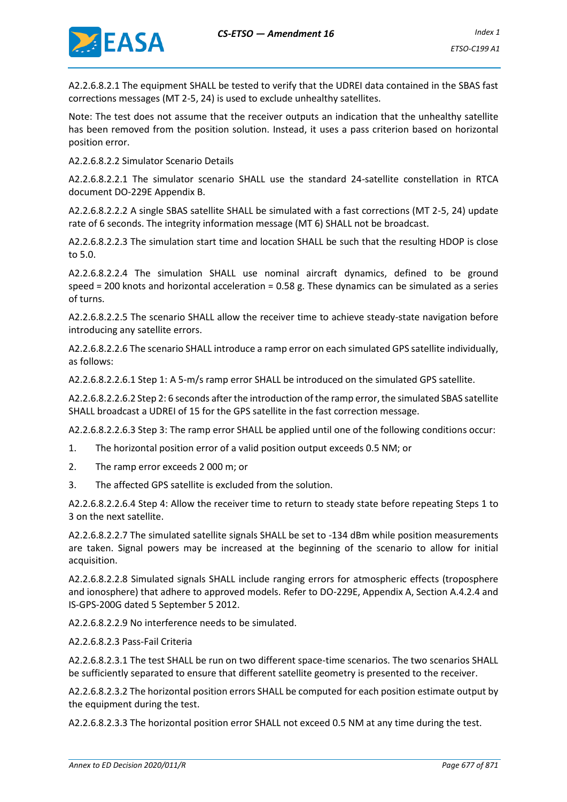

A2.2.6.8.2.1 The equipment SHALL be tested to verify that the UDREI data contained in the SBAS fast corrections messages (MT 2-5, 24) is used to exclude unhealthy satellites.

Note: The test does not assume that the receiver outputs an indication that the unhealthy satellite has been removed from the position solution. Instead, it uses a pass criterion based on horizontal position error.

A2.2.6.8.2.2 Simulator Scenario Details

A2.2.6.8.2.2.1 The simulator scenario SHALL use the standard 24-satellite constellation in RTCA document DO-229E Appendix B.

A2.2.6.8.2.2.2 A single SBAS satellite SHALL be simulated with a fast corrections (MT 2-5, 24) update rate of 6 seconds. The integrity information message (MT 6) SHALL not be broadcast.

A2.2.6.8.2.2.3 The simulation start time and location SHALL be such that the resulting HDOP is close to 5.0.

A2.2.6.8.2.2.4 The simulation SHALL use nominal aircraft dynamics, defined to be ground speed = 200 knots and horizontal acceleration = 0.58 g. These dynamics can be simulated as a series of turns.

A2.2.6.8.2.2.5 The scenario SHALL allow the receiver time to achieve steady-state navigation before introducing any satellite errors.

A2.2.6.8.2.2.6 The scenario SHALL introduce a ramp error on each simulated GPS satellite individually, as follows:

A2.2.6.8.2.2.6.1 Step 1: A 5-m/s ramp error SHALL be introduced on the simulated GPS satellite.

A2.2.6.8.2.2.6.2 Step 2: 6 seconds after the introduction of the ramp error, the simulated SBAS satellite SHALL broadcast a UDREI of 15 for the GPS satellite in the fast correction message.

A2.2.6.8.2.2.6.3 Step 3: The ramp error SHALL be applied until one of the following conditions occur:

- 1. The horizontal position error of a valid position output exceeds 0.5 NM; or
- 2. The ramp error exceeds 2 000 m; or
- 3. The affected GPS satellite is excluded from the solution.

A2.2.6.8.2.2.6.4 Step 4: Allow the receiver time to return to steady state before repeating Steps 1 to 3 on the next satellite.

A2.2.6.8.2.2.7 The simulated satellite signals SHALL be set to -134 dBm while position measurements are taken. Signal powers may be increased at the beginning of the scenario to allow for initial acquisition.

A2.2.6.8.2.2.8 Simulated signals SHALL include ranging errors for atmospheric effects (troposphere and ionosphere) that adhere to approved models. Refer to DO-229E, Appendix A, Section A.4.2.4 and IS-GPS-200G dated 5 September 5 2012.

A2.2.6.8.2.2.9 No interference needs to be simulated.

A2.2.6.8.2.3 Pass-Fail Criteria

A2.2.6.8.2.3.1 The test SHALL be run on two different space-time scenarios. The two scenarios SHALL be sufficiently separated to ensure that different satellite geometry is presented to the receiver.

A2.2.6.8.2.3.2 The horizontal position errors SHALL be computed for each position estimate output by the equipment during the test.

A2.2.6.8.2.3.3 The horizontal position error SHALL not exceed 0.5 NM at any time during the test.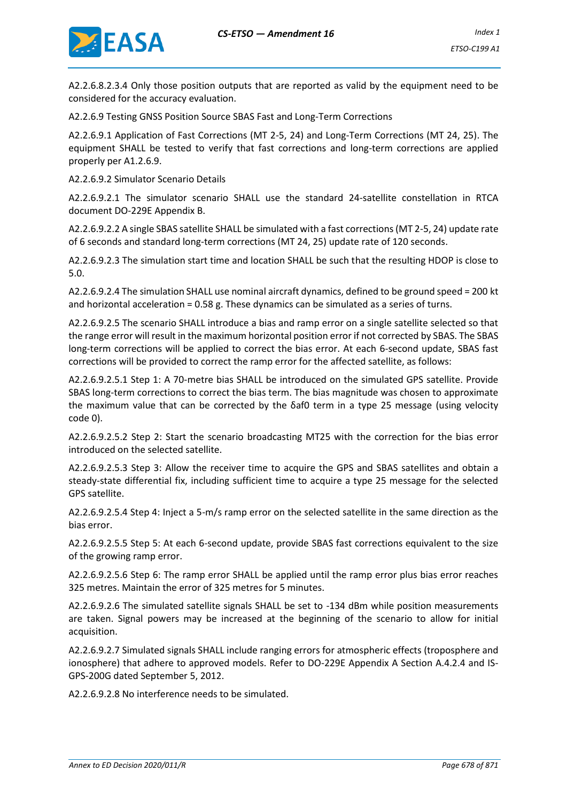

A2.2.6.8.2.3.4 Only those position outputs that are reported as valid by the equipment need to be considered for the accuracy evaluation.

A2.2.6.9 Testing GNSS Position Source SBAS Fast and Long-Term Corrections

A2.2.6.9.1 Application of Fast Corrections (MT 2-5, 24) and Long-Term Corrections (MT 24, 25). The equipment SHALL be tested to verify that fast corrections and long-term corrections are applied properly per A1.2.6.9.

A2.2.6.9.2 Simulator Scenario Details

A2.2.6.9.2.1 The simulator scenario SHALL use the standard 24-satellite constellation in RTCA document DO-229E Appendix B.

A2.2.6.9.2.2 A single SBAS satellite SHALL be simulated with a fast corrections (MT 2-5, 24) update rate of 6 seconds and standard long-term corrections (MT 24, 25) update rate of 120 seconds.

A2.2.6.9.2.3 The simulation start time and location SHALL be such that the resulting HDOP is close to 5.0.

A2.2.6.9.2.4 The simulation SHALL use nominal aircraft dynamics, defined to be ground speed = 200 kt and horizontal acceleration = 0.58 g. These dynamics can be simulated as a series of turns.

A2.2.6.9.2.5 The scenario SHALL introduce a bias and ramp error on a single satellite selected so that the range error will result in the maximum horizontal position error if not corrected by SBAS. The SBAS long-term corrections will be applied to correct the bias error. At each 6-second update, SBAS fast corrections will be provided to correct the ramp error for the affected satellite, as follows:

A2.2.6.9.2.5.1 Step 1: A 70-metre bias SHALL be introduced on the simulated GPS satellite. Provide SBAS long-term corrections to correct the bias term. The bias magnitude was chosen to approximate the maximum value that can be corrected by the δaf0 term in a type 25 message (using velocity code 0).

A2.2.6.9.2.5.2 Step 2: Start the scenario broadcasting MT25 with the correction for the bias error introduced on the selected satellite.

A2.2.6.9.2.5.3 Step 3: Allow the receiver time to acquire the GPS and SBAS satellites and obtain a steady-state differential fix, including sufficient time to acquire a type 25 message for the selected GPS satellite.

A2.2.6.9.2.5.4 Step 4: Inject a 5-m/s ramp error on the selected satellite in the same direction as the bias error.

A2.2.6.9.2.5.5 Step 5: At each 6-second update, provide SBAS fast corrections equivalent to the size of the growing ramp error.

A2.2.6.9.2.5.6 Step 6: The ramp error SHALL be applied until the ramp error plus bias error reaches 325 metres. Maintain the error of 325 metres for 5 minutes.

A2.2.6.9.2.6 The simulated satellite signals SHALL be set to -134 dBm while position measurements are taken. Signal powers may be increased at the beginning of the scenario to allow for initial acquisition.

A2.2.6.9.2.7 Simulated signals SHALL include ranging errors for atmospheric effects (troposphere and ionosphere) that adhere to approved models. Refer to DO-229E Appendix A Section A.4.2.4 and IS-GPS-200G dated September 5, 2012.

A2.2.6.9.2.8 No interference needs to be simulated.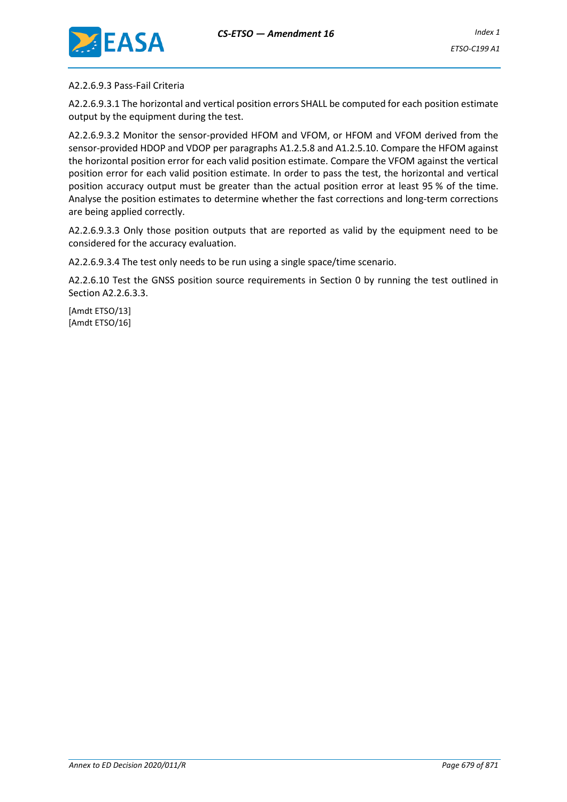

A2.2.6.9.3 Pass-Fail Criteria

A2.2.6.9.3.1 The horizontal and vertical position errors SHALL be computed for each position estimate output by the equipment during the test.

A2.2.6.9.3.2 Monitor the sensor-provided HFOM and VFOM, or HFOM and VFOM derived from the sensor-provided HDOP and VDOP per paragraphs A1.2.5.8 and A1.2.5.10. Compare the HFOM against the horizontal position error for each valid position estimate. Compare the VFOM against the vertical position error for each valid position estimate. In order to pass the test, the horizontal and vertical position accuracy output must be greater than the actual position error at least 95 % of the time. Analyse the position estimates to determine whether the fast corrections and long-term corrections are being applied correctly.

A2.2.6.9.3.3 Only those position outputs that are reported as valid by the equipment need to be considered for the accuracy evaluation.

A2.2.6.9.3.4 The test only needs to be run using a single space/time scenario.

A2.2.6.10 Test the GNSS position source requirements in Section 0 by running the test outlined in Section A2.2.6.3.3.

[Amdt ETSO/13] [Amdt ETSO/16]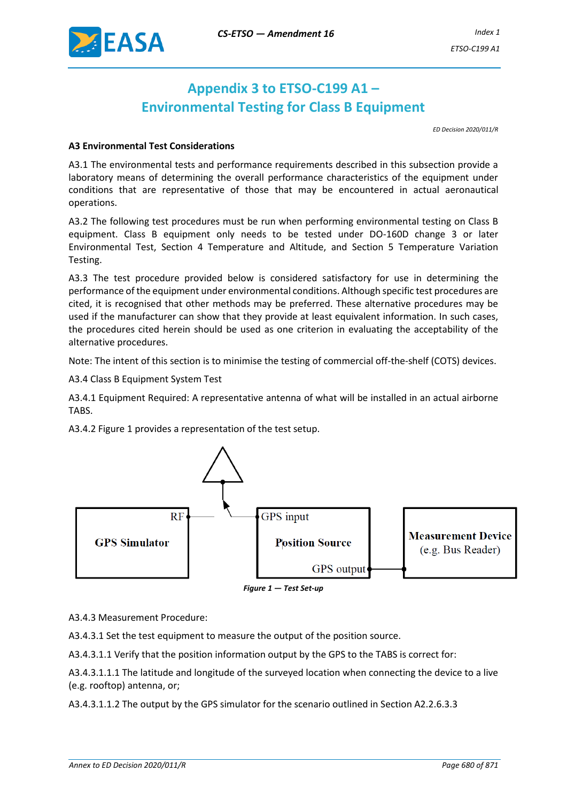<span id="page-31-0"></span>

## **Appendix 3 to ETSO-C199 A1 – Environmental Testing for Class B Equipment**

*ED Decision 2020/011/R*

#### **A3 Environmental Test Considerations**

A3.1 The environmental tests and performance requirements described in this subsection provide a laboratory means of determining the overall performance characteristics of the equipment under conditions that are representative of those that may be encountered in actual aeronautical operations.

A3.2 The following test procedures must be run when performing environmental testing on Class B equipment. Class B equipment only needs to be tested under DO-160D change 3 or later Environmental Test, Section 4 Temperature and Altitude, and Section 5 Temperature Variation Testing.

A3.3 The test procedure provided below is considered satisfactory for use in determining the performance of the equipment under environmental conditions. Although specific test procedures are cited, it is recognised that other methods may be preferred. These alternative procedures may be used if the manufacturer can show that they provide at least equivalent information. In such cases, the procedures cited herein should be used as one criterion in evaluating the acceptability of the alternative procedures.

Note: The intent of this section is to minimise the testing of commercial off-the-shelf (COTS) devices.

A3.4 Class B Equipment System Test

A3.4.1 Equipment Required: A representative antenna of what will be installed in an actual airborne TABS.

A3.4.2 Figure 1 provides a representation of the test setup.



*Figure 1 — Test Set-up*

A3.4.3 Measurement Procedure:

A3.4.3.1 Set the test equipment to measure the output of the position source.

A3.4.3.1.1 Verify that the position information output by the GPS to the TABS is correct for:

A3.4.3.1.1.1 The latitude and longitude of the surveyed location when connecting the device to a live (e.g. rooftop) antenna, or;

A3.4.3.1.1.2 The output by the GPS simulator for the scenario outlined in Section A2.2.6.3.3